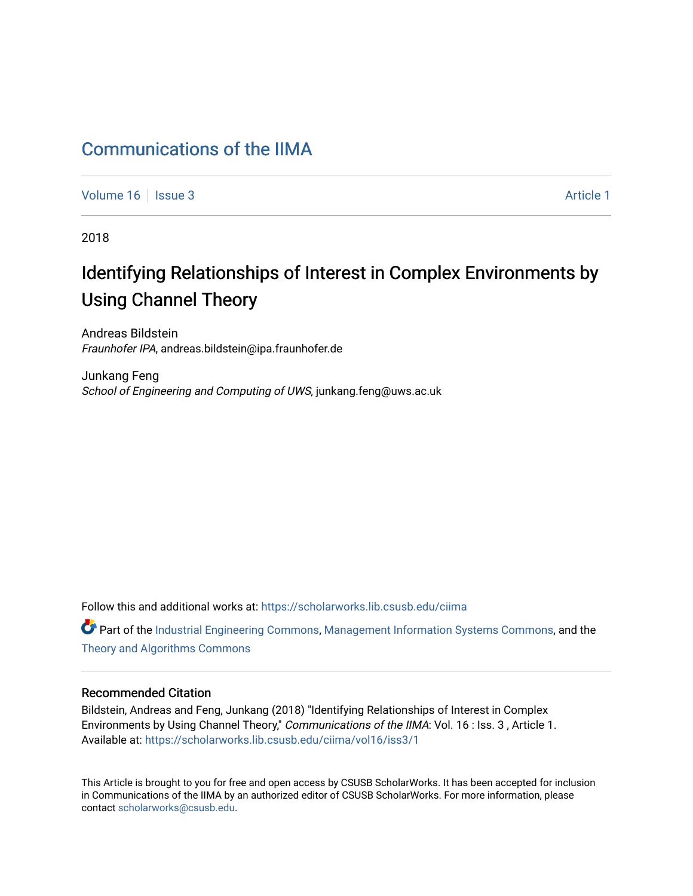# [Communications of the IIMA](https://scholarworks.lib.csusb.edu/ciima)

[Volume 16](https://scholarworks.lib.csusb.edu/ciima/vol16) | [Issue 3](https://scholarworks.lib.csusb.edu/ciima/vol16/iss3) Article 1

2018

# Identifying Relationships of Interest in Complex Environments by Using Channel Theory

Andreas Bildstein Fraunhofer IPA, andreas.bildstein@ipa.fraunhofer.de

Junkang Feng School of Engineering and Computing of UWS, junkang.feng@uws.ac.uk

Follow this and additional works at: [https://scholarworks.lib.csusb.edu/ciima](https://scholarworks.lib.csusb.edu/ciima?utm_source=scholarworks.lib.csusb.edu%2Fciima%2Fvol16%2Fiss3%2F1&utm_medium=PDF&utm_campaign=PDFCoverPages) 

Part of the [Industrial Engineering Commons](http://network.bepress.com/hgg/discipline/307?utm_source=scholarworks.lib.csusb.edu%2Fciima%2Fvol16%2Fiss3%2F1&utm_medium=PDF&utm_campaign=PDFCoverPages), [Management Information Systems Commons](http://network.bepress.com/hgg/discipline/636?utm_source=scholarworks.lib.csusb.edu%2Fciima%2Fvol16%2Fiss3%2F1&utm_medium=PDF&utm_campaign=PDFCoverPages), and the [Theory and Algorithms Commons](http://network.bepress.com/hgg/discipline/151?utm_source=scholarworks.lib.csusb.edu%2Fciima%2Fvol16%2Fiss3%2F1&utm_medium=PDF&utm_campaign=PDFCoverPages) 

### Recommended Citation

Bildstein, Andreas and Feng, Junkang (2018) "Identifying Relationships of Interest in Complex Environments by Using Channel Theory," Communications of the IIMA: Vol. 16 : Iss. 3, Article 1. Available at: [https://scholarworks.lib.csusb.edu/ciima/vol16/iss3/1](https://scholarworks.lib.csusb.edu/ciima/vol16/iss3/1?utm_source=scholarworks.lib.csusb.edu%2Fciima%2Fvol16%2Fiss3%2F1&utm_medium=PDF&utm_campaign=PDFCoverPages) 

This Article is brought to you for free and open access by CSUSB ScholarWorks. It has been accepted for inclusion in Communications of the IIMA by an authorized editor of CSUSB ScholarWorks. For more information, please contact [scholarworks@csusb.edu.](mailto:scholarworks@csusb.edu)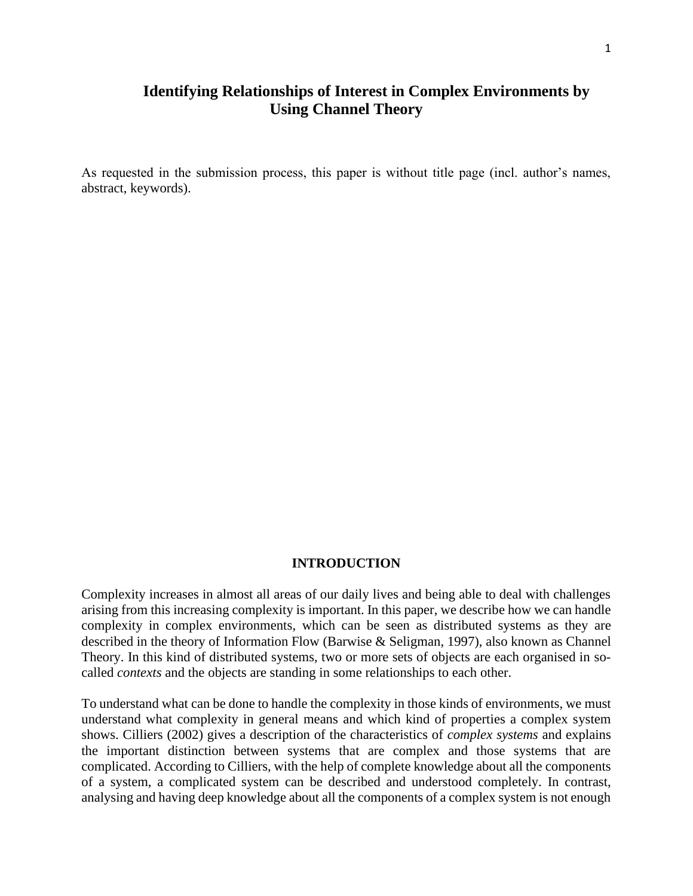# **Identifying Relationships of Interest in Complex Environments by Using Channel Theory**

As requested in the submission process, this paper is without title page (incl. author's names, abstract, keywords).

### **INTRODUCTION**

Complexity increases in almost all areas of our daily lives and being able to deal with challenges arising from this increasing complexity is important. In this paper, we describe how we can handle complexity in complex environments, which can be seen as distributed systems as they are described in the theory of Information Flow (Barwise & Seligman, 1997), also known as Channel Theory. In this kind of distributed systems, two or more sets of objects are each organised in socalled *contexts* and the objects are standing in some relationships to each other.

To understand what can be done to handle the complexity in those kinds of environments, we must understand what complexity in general means and which kind of properties a complex system shows. Cilliers (2002) gives a description of the characteristics of *complex systems* and explains the important distinction between systems that are complex and those systems that are complicated. According to Cilliers, with the help of complete knowledge about all the components of a system, a complicated system can be described and understood completely. In contrast, analysing and having deep knowledge about all the components of a complex system is not enough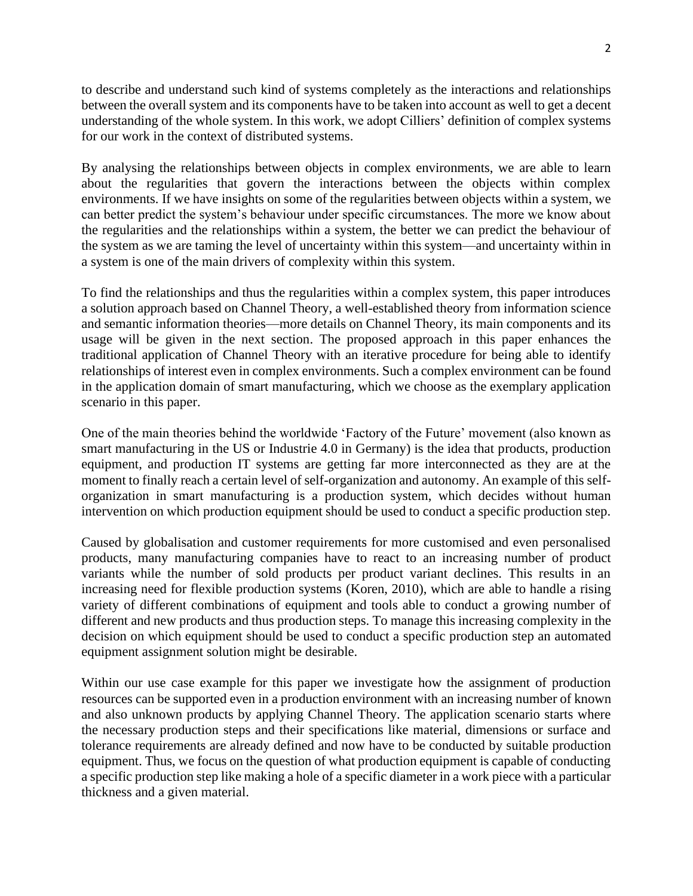to describe and understand such kind of systems completely as the interactions and relationships between the overall system and its components have to be taken into account as well to get a decent understanding of the whole system. In this work, we adopt Cilliers' definition of complex systems for our work in the context of distributed systems.

By analysing the relationships between objects in complex environments, we are able to learn about the regularities that govern the interactions between the objects within complex environments. If we have insights on some of the regularities between objects within a system, we can better predict the system's behaviour under specific circumstances. The more we know about the regularities and the relationships within a system, the better we can predict the behaviour of the system as we are taming the level of uncertainty within this system—and uncertainty within in a system is one of the main drivers of complexity within this system.

To find the relationships and thus the regularities within a complex system, this paper introduces a solution approach based on Channel Theory, a well-established theory from information science and semantic information theories—more details on Channel Theory, its main components and its usage will be given in the next section. The proposed approach in this paper enhances the traditional application of Channel Theory with an iterative procedure for being able to identify relationships of interest even in complex environments. Such a complex environment can be found in the application domain of smart manufacturing, which we choose as the exemplary application scenario in this paper.

One of the main theories behind the worldwide 'Factory of the Future' movement (also known as smart manufacturing in the US or Industrie 4.0 in Germany) is the idea that products, production equipment, and production IT systems are getting far more interconnected as they are at the moment to finally reach a certain level of self-organization and autonomy. An example of this selforganization in smart manufacturing is a production system, which decides without human intervention on which production equipment should be used to conduct a specific production step.

Caused by globalisation and customer requirements for more customised and even personalised products, many manufacturing companies have to react to an increasing number of product variants while the number of sold products per product variant declines. This results in an increasing need for flexible production systems (Koren, 2010), which are able to handle a rising variety of different combinations of equipment and tools able to conduct a growing number of different and new products and thus production steps. To manage this increasing complexity in the decision on which equipment should be used to conduct a specific production step an automated equipment assignment solution might be desirable.

Within our use case example for this paper we investigate how the assignment of production resources can be supported even in a production environment with an increasing number of known and also unknown products by applying Channel Theory. The application scenario starts where the necessary production steps and their specifications like material, dimensions or surface and tolerance requirements are already defined and now have to be conducted by suitable production equipment. Thus, we focus on the question of what production equipment is capable of conducting a specific production step like making a hole of a specific diameter in a work piece with a particular thickness and a given material.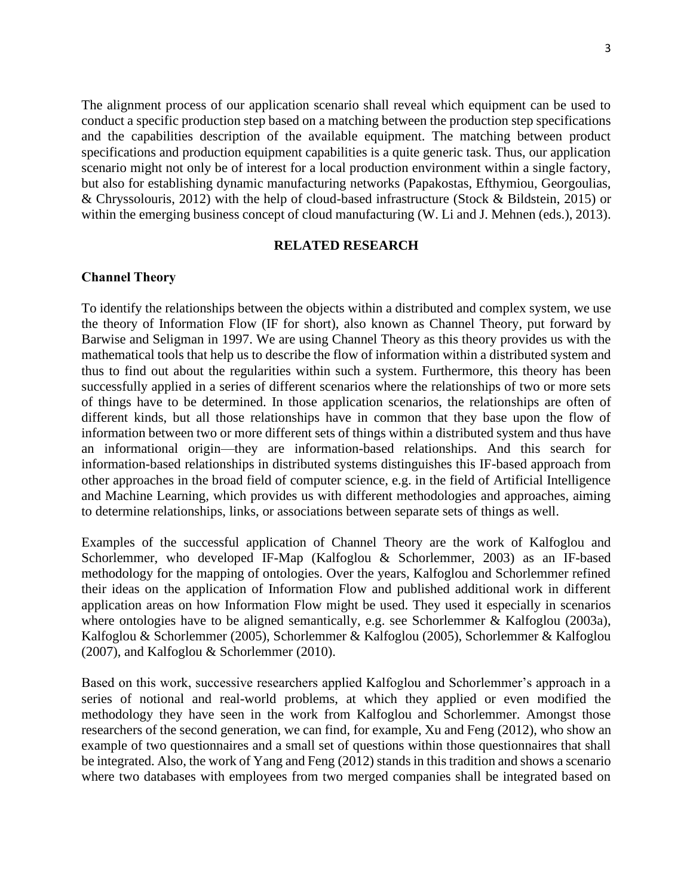The alignment process of our application scenario shall reveal which equipment can be used to conduct a specific production step based on a matching between the production step specifications and the capabilities description of the available equipment. The matching between product specifications and production equipment capabilities is a quite generic task. Thus, our application scenario might not only be of interest for a local production environment within a single factory, but also for establishing dynamic manufacturing networks (Papakostas, Efthymiou, Georgoulias, & Chryssolouris, 2012) with the help of cloud-based infrastructure (Stock & Bildstein, 2015) or within the emerging business concept of cloud manufacturing (W. Li and J. Mehnen (eds.), 2013).

### **RELATED RESEARCH**

#### **Channel Theory**

To identify the relationships between the objects within a distributed and complex system, we use the theory of Information Flow (IF for short), also known as Channel Theory, put forward by Barwise and Seligman in 1997. We are using Channel Theory as this theory provides us with the mathematical tools that help us to describe the flow of information within a distributed system and thus to find out about the regularities within such a system. Furthermore, this theory has been successfully applied in a series of different scenarios where the relationships of two or more sets of things have to be determined. In those application scenarios, the relationships are often of different kinds, but all those relationships have in common that they base upon the flow of information between two or more different sets of things within a distributed system and thus have an informational origin—they are information-based relationships. And this search for information-based relationships in distributed systems distinguishes this IF-based approach from other approaches in the broad field of computer science, e.g. in the field of Artificial Intelligence and Machine Learning, which provides us with different methodologies and approaches, aiming to determine relationships, links, or associations between separate sets of things as well.

Examples of the successful application of Channel Theory are the work of Kalfoglou and Schorlemmer, who developed IF-Map (Kalfoglou & Schorlemmer, 2003) as an IF-based methodology for the mapping of ontologies. Over the years, Kalfoglou and Schorlemmer refined their ideas on the application of Information Flow and published additional work in different application areas on how Information Flow might be used. They used it especially in scenarios where ontologies have to be aligned semantically, e.g. see Schorlemmer & Kalfoglou (2003a), Kalfoglou & Schorlemmer (2005), Schorlemmer & Kalfoglou (2005), Schorlemmer & Kalfoglou (2007), and Kalfoglou & Schorlemmer (2010).

Based on this work, successive researchers applied Kalfoglou and Schorlemmer's approach in a series of notional and real-world problems, at which they applied or even modified the methodology they have seen in the work from Kalfoglou and Schorlemmer. Amongst those researchers of the second generation, we can find, for example, Xu and Feng (2012), who show an example of two questionnaires and a small set of questions within those questionnaires that shall be integrated. Also, the work of Yang and Feng (2012) stands in this tradition and shows a scenario where two databases with employees from two merged companies shall be integrated based on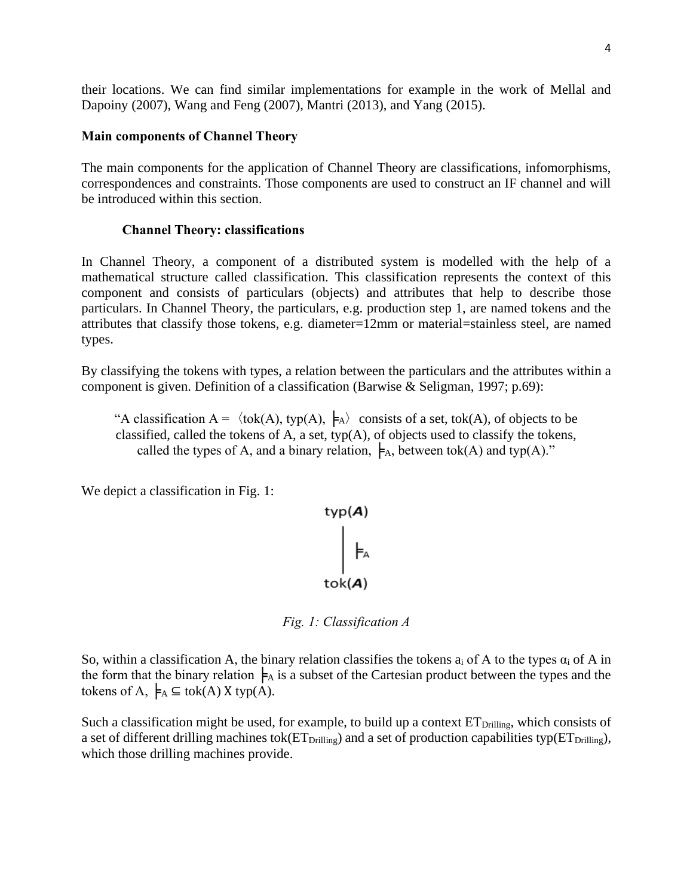their locations. We can find similar implementations for example in the work of Mellal and Dapoiny (2007), Wang and Feng (2007), Mantri (2013), and Yang (2015).

### **Main components of Channel Theory**

The main components for the application of Channel Theory are classifications, infomorphisms, correspondences and constraints. Those components are used to construct an IF channel and will be introduced within this section.

### **Channel Theory: classifications**

In Channel Theory, a component of a distributed system is modelled with the help of a mathematical structure called classification. This classification represents the context of this component and consists of particulars (objects) and attributes that help to describe those particulars. In Channel Theory, the particulars, e.g. production step 1, are named tokens and the attributes that classify those tokens, e.g. diameter=12mm or material=stainless steel, are named types.

By classifying the tokens with types, a relation between the particulars and the attributes within a component is given. Definition of a classification (Barwise & Seligman, 1997; p.69):

"A classification  $A = \langle tok(A), typ(A), \nvert_A \rangle$  consists of a set, tok(A), of objects to be classified, called the tokens of A, a set, typ(A), of objects used to classify the tokens, called the types of A, and a binary relation,  $\models$ <sub>A</sub>, between tok(A) and typ(A)."

We depict a classification in Fig. 1:

$$
\begin{matrix}\n\text{typ}(A) \\
\downarrow \\
\downarrow \\
\text{tok}(A)\n\end{matrix}
$$

*Fig. 1: Classification A*

So, within a classification A, the binary relation classifies the tokens  $a_i$  of A to the types  $\alpha_i$  of A in the form that the binary relation  $\models_A$  is a subset of the Cartesian product between the types and the tokens of A,  $\models A \subseteq tok(A)$  X typ(A).

Such a classification might be used, for example, to build up a context  $ET<sub>Drilling</sub>$ , which consists of a set of different drilling machines tok( $ET<sub>Drilline</sub>$ ) and a set of production capabilities typ( $ET<sub>Drilline</sub>$ ), which those drilling machines provide.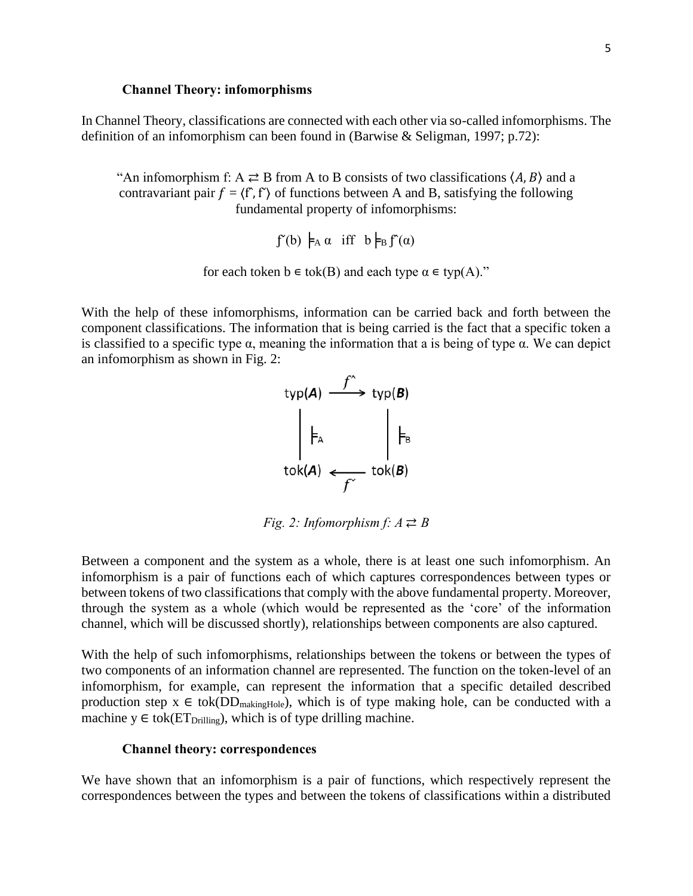#### **Channel Theory: infomorphisms**

In Channel Theory, classifications are connected with each other via so-called infomorphisms. The definition of an infomorphism can been found in (Barwise & Seligman, 1997; p.72):

"An infomorphism f: A  $\rightleftarrows$  B from A to B consists of two classifications  $\langle A, B \rangle$  and a contravariant pair  $f = \langle f, f' \rangle$  of functions between A and B, satisfying the following fundamental property of infomorphisms:

```
\int f(b) \models_A \alpha iff b \models_B f^{\prime}(\alpha)
```
for each token  $b \in \text{tok}(B)$  and each type  $\alpha \in \text{typ}(A)$ ."

With the help of these infomorphisms, information can be carried back and forth between the component classifications. The information that is being carried is the fact that a specific token a is classified to a specific type  $\alpha$ , meaning the information that a is being of type  $\alpha$ . We can depict an infomorphism as shown in Fig. 2:



*Fig. 2: Infomorphism f:*  $A \ncong B$ 

Between a component and the system as a whole, there is at least one such infomorphism. An infomorphism is a pair of functions each of which captures correspondences between types or between tokens of two classifications that comply with the above fundamental property. Moreover, through the system as a whole (which would be represented as the 'core' of the information channel, which will be discussed shortly), relationships between components are also captured.

With the help of such infomorphisms, relationships between the tokens or between the types of two components of an information channel are represented. The function on the token-level of an infomorphism, for example, can represent the information that a specific detailed described production step  $x \in tok(DD_{\text{makingHole}})$ , which is of type making hole, can be conducted with a machine  $y \in tok(ET<sub>Drilling</sub>)$ , which is of type drilling machine.

#### **Channel theory: correspondences**

We have shown that an infomorphism is a pair of functions, which respectively represent the correspondences between the types and between the tokens of classifications within a distributed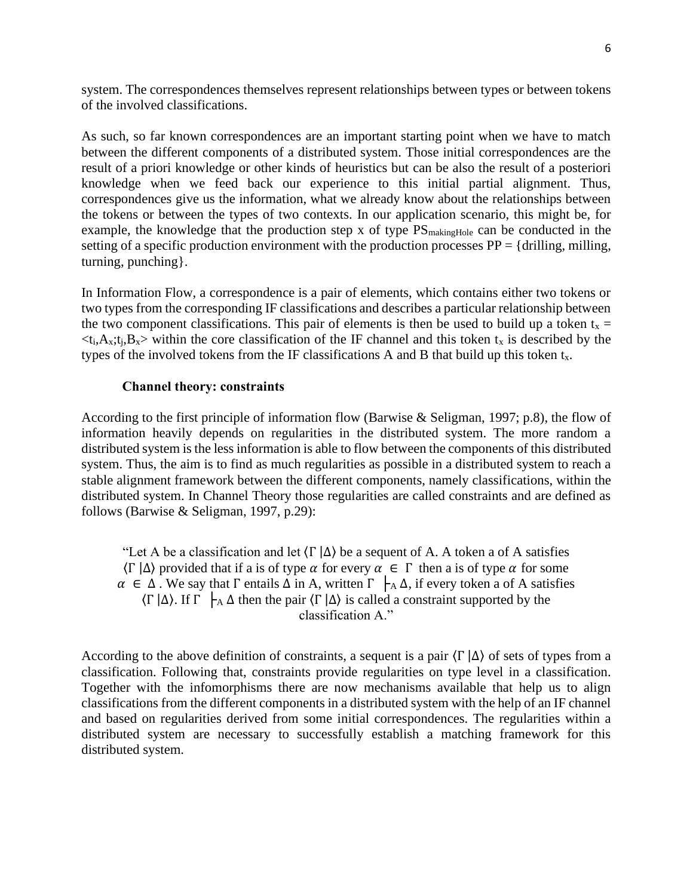system. The correspondences themselves represent relationships between types or between tokens of the involved classifications.

As such, so far known correspondences are an important starting point when we have to match between the different components of a distributed system. Those initial correspondences are the result of a priori knowledge or other kinds of heuristics but can be also the result of a posteriori knowledge when we feed back our experience to this initial partial alignment. Thus, correspondences give us the information, what we already know about the relationships between the tokens or between the types of two contexts. In our application scenario, this might be, for example, the knowledge that the production step x of type  $PS_{\text{makingHole}}$  can be conducted in the setting of a specific production environment with the production processes  $PP = \{drilling, milling,$ turning, punching}.

In Information Flow, a correspondence is a pair of elements, which contains either two tokens or two types from the corresponding IF classifications and describes a particular relationship between the two component classifications. This pair of elements is then be used to build up a token  $t_x =$  $\langle t_i, A_x; t_i, B_x \rangle$  within the core classification of the IF channel and this token  $t_x$  is described by the types of the involved tokens from the IF classifications A and B that build up this token  $t_x$ .

### **Channel theory: constraints**

According to the first principle of information flow (Barwise & Seligman, 1997; p.8), the flow of information heavily depends on regularities in the distributed system. The more random a distributed system is the less information is able to flow between the components of this distributed system. Thus, the aim is to find as much regularities as possible in a distributed system to reach a stable alignment framework between the different components, namely classifications, within the distributed system. In Channel Theory those regularities are called constraints and are defined as follows (Barwise & Seligman, 1997, p.29):

"Let A be a classification and let  $\langle \Gamma | \Delta \rangle$  be a sequent of A. A token a of A satisfies  $\langle \Gamma | \Delta \rangle$  provided that if a is of type  $\alpha$  for every  $\alpha \in \Gamma$  then a is of type  $\alpha$  for some  $\alpha \in \Delta$ . We say that  $\Gamma$  entails  $\Delta$  in A, written  $\Gamma$   $\vdash$  A  $\Delta$ , if every token a of A satisfies  $\langle \Gamma | \Delta \rangle$ . If  $\Gamma$   $\vdash$   $\Delta \Delta$  then the pair  $\langle \Gamma | \Delta \rangle$  is called a constraint supported by the classification A."

According to the above definition of constraints, a sequent is a pair  $\langle \Gamma | \Delta \rangle$  of sets of types from a classification. Following that, constraints provide regularities on type level in a classification. Together with the infomorphisms there are now mechanisms available that help us to align classifications from the different components in a distributed system with the help of an IF channel and based on regularities derived from some initial correspondences. The regularities within a distributed system are necessary to successfully establish a matching framework for this distributed system.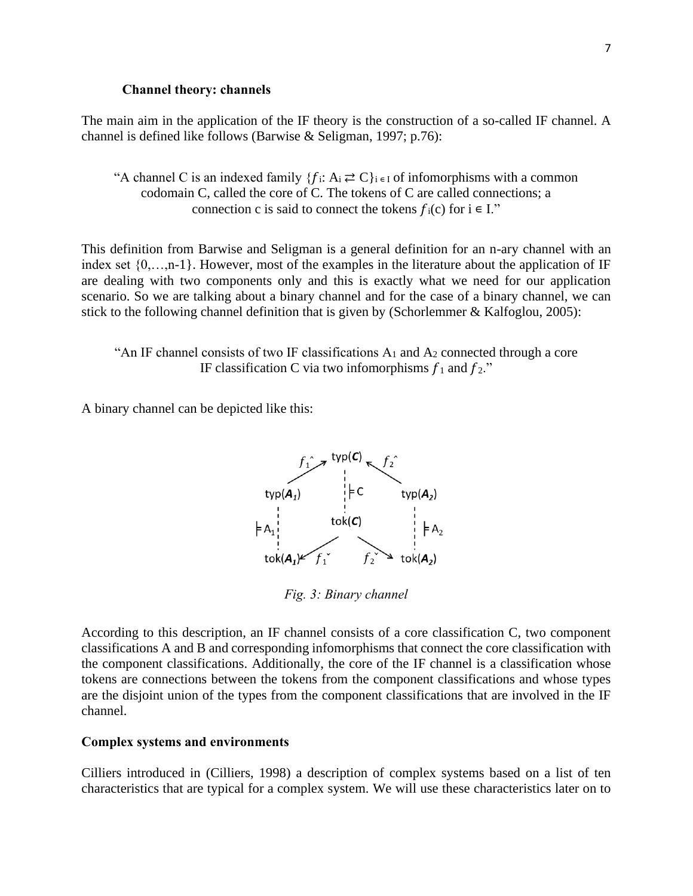#### **Channel theory: channels**

The main aim in the application of the IF theory is the construction of a so-called IF channel. A channel is defined like follows (Barwise & Seligman, 1997; p.76):

"A channel C is an indexed family  $\{f_i: A_i \rightleftarrows C\}_{i \in I}$  of infomorphisms with a common codomain C, called the core of C. The tokens of C are called connections; a connection c is said to connect the tokens  $f_i(c)$  for  $i \in I$ ."

This definition from Barwise and Seligman is a general definition for an n-ary channel with an index set {0,…,n-1}. However, most of the examples in the literature about the application of IF are dealing with two components only and this is exactly what we need for our application scenario. So we are talking about a binary channel and for the case of a binary channel, we can stick to the following channel definition that is given by (Schorlemmer & Kalfoglou, 2005):

"An IF channel consists of two IF classifications  $A_1$  and  $A_2$  connected through a core IF classification C via two infomorphisms  $f_1$  and  $f_2$ ."

A binary channel can be depicted like this:



*Fig. 3: Binary channel*

According to this description, an IF channel consists of a core classification C, two component classifications A and B and corresponding infomorphisms that connect the core classification with the component classifications. Additionally, the core of the IF channel is a classification whose tokens are connections between the tokens from the component classifications and whose types are the disjoint union of the types from the component classifications that are involved in the IF channel.

### **Complex systems and environments**

Cilliers introduced in (Cilliers, 1998) a description of complex systems based on a list of ten characteristics that are typical for a complex system. We will use these characteristics later on to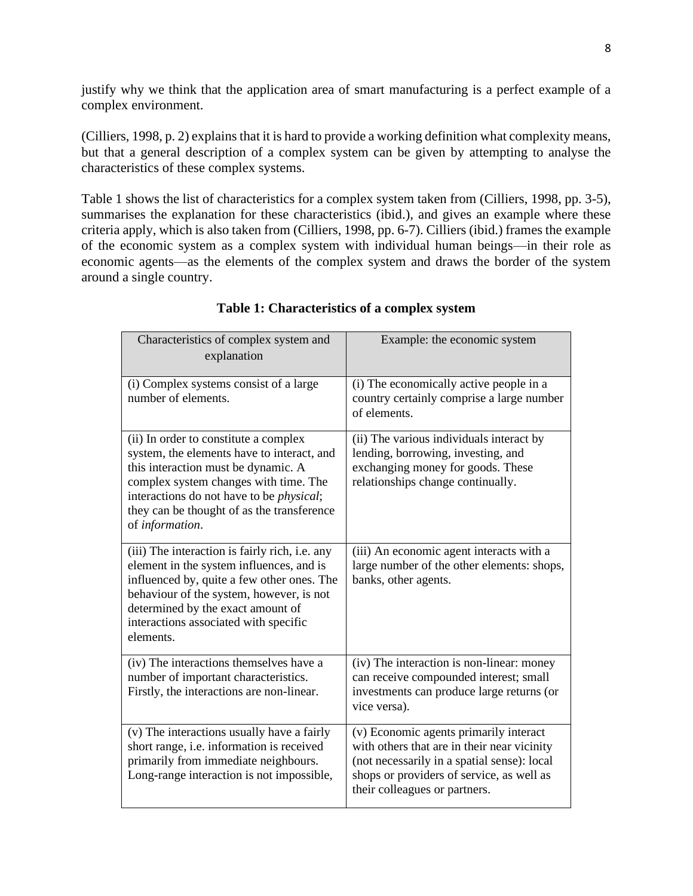justify why we think that the application area of smart manufacturing is a perfect example of a complex environment.

(Cilliers, 1998, p. 2) explains that it is hard to provide a working definition what complexity means, but that a general description of a complex system can be given by attempting to analyse the characteristics of these complex systems.

[Table 1](#page-8-0) shows the list of characteristics for a complex system taken from (Cilliers, 1998, pp. 3-5), summarises the explanation for these characteristics (ibid.), and gives an example where these criteria apply, which is also taken from (Cilliers, 1998, pp. 6-7). Cilliers (ibid.) frames the example of the economic system as a complex system with individual human beings—in their role as economic agents—as the elements of the complex system and draws the border of the system around a single country.

<span id="page-8-0"></span>

| Characteristics of complex system and<br>explanation                                                                                                                                                                                                                                     | Example: the economic system                                                                                                                                                                                       |
|------------------------------------------------------------------------------------------------------------------------------------------------------------------------------------------------------------------------------------------------------------------------------------------|--------------------------------------------------------------------------------------------------------------------------------------------------------------------------------------------------------------------|
| (i) Complex systems consist of a large<br>number of elements.                                                                                                                                                                                                                            | (i) The economically active people in a<br>country certainly comprise a large number<br>of elements.                                                                                                               |
| (ii) In order to constitute a complex<br>system, the elements have to interact, and<br>this interaction must be dynamic. A<br>complex system changes with time. The<br>interactions do not have to be <i>physical</i> ;<br>they can be thought of as the transference<br>of information. | (ii) The various individuals interact by<br>lending, borrowing, investing, and<br>exchanging money for goods. These<br>relationships change continually.                                                           |
| (iii) The interaction is fairly rich, i.e. any<br>element in the system influences, and is<br>influenced by, quite a few other ones. The<br>behaviour of the system, however, is not<br>determined by the exact amount of<br>interactions associated with specific<br>elements.          | (iii) An economic agent interacts with a<br>large number of the other elements: shops,<br>banks, other agents.                                                                                                     |
| (iv) The interactions themselves have a<br>number of important characteristics.<br>Firstly, the interactions are non-linear.                                                                                                                                                             | (iv) The interaction is non-linear: money<br>can receive compounded interest; small<br>investments can produce large returns (or<br>vice versa).                                                                   |
| (v) The interactions usually have a fairly<br>short range, i.e. information is received<br>primarily from immediate neighbours.<br>Long-range interaction is not impossible,                                                                                                             | (v) Economic agents primarily interact<br>with others that are in their near vicinity<br>(not necessarily in a spatial sense): local<br>shops or providers of service, as well as<br>their colleagues or partners. |

# **Table 1: Characteristics of a complex system**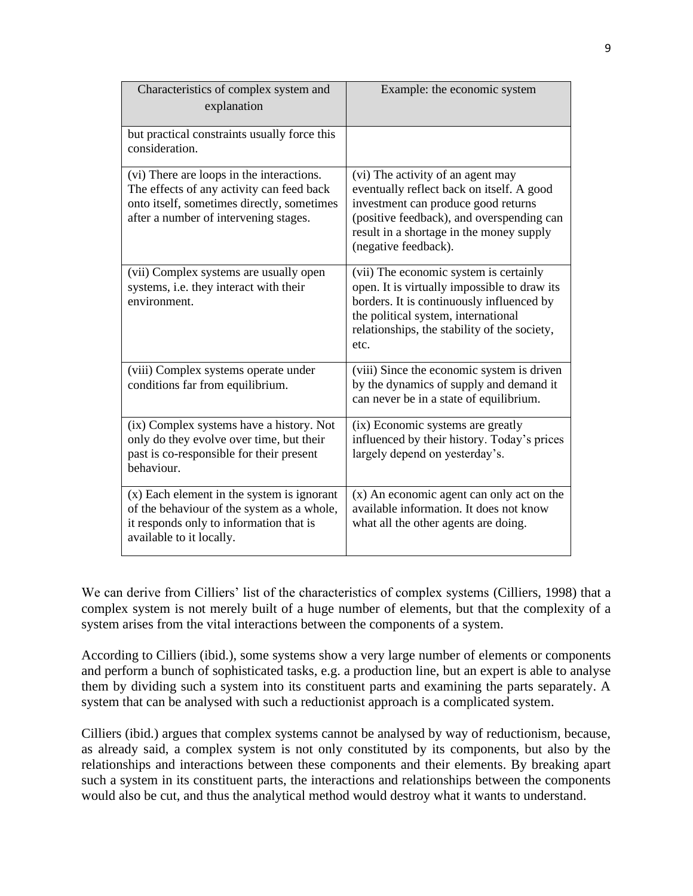| Characteristics of complex system and<br>explanation                                                                                                                          | Example: the economic system                                                                                                                                                                                                           |
|-------------------------------------------------------------------------------------------------------------------------------------------------------------------------------|----------------------------------------------------------------------------------------------------------------------------------------------------------------------------------------------------------------------------------------|
| but practical constraints usually force this<br>consideration.                                                                                                                |                                                                                                                                                                                                                                        |
| (vi) There are loops in the interactions.<br>The effects of any activity can feed back<br>onto itself, sometimes directly, sometimes<br>after a number of intervening stages. | (vi) The activity of an agent may<br>eventually reflect back on itself. A good<br>investment can produce good returns<br>(positive feedback), and overspending can<br>result in a shortage in the money supply<br>(negative feedback). |
| (vii) Complex systems are usually open<br>systems, i.e. they interact with their<br>environment.                                                                              | (vii) The economic system is certainly<br>open. It is virtually impossible to draw its<br>borders. It is continuously influenced by<br>the political system, international<br>relationships, the stability of the society,<br>etc.     |
| (viii) Complex systems operate under<br>conditions far from equilibrium.                                                                                                      | (viii) Since the economic system is driven<br>by the dynamics of supply and demand it<br>can never be in a state of equilibrium.                                                                                                       |
| (ix) Complex systems have a history. Not<br>only do they evolve over time, but their<br>past is co-responsible for their present<br>behaviour.                                | (ix) Economic systems are greatly<br>influenced by their history. Today's prices<br>largely depend on yesterday's.                                                                                                                     |
| $(x)$ Each element in the system is ignorant<br>of the behaviour of the system as a whole,<br>it responds only to information that is<br>available to it locally.             | (x) An economic agent can only act on the<br>available information. It does not know<br>what all the other agents are doing.                                                                                                           |

We can derive from Cilliers' list of the characteristics of complex systems (Cilliers, 1998) that a complex system is not merely built of a huge number of elements, but that the complexity of a system arises from the vital interactions between the components of a system.

According to Cilliers (ibid.), some systems show a very large number of elements or components and perform a bunch of sophisticated tasks, e.g. a production line, but an expert is able to analyse them by dividing such a system into its constituent parts and examining the parts separately. A system that can be analysed with such a reductionist approach is a complicated system.

Cilliers (ibid.) argues that complex systems cannot be analysed by way of reductionism, because, as already said, a complex system is not only constituted by its components, but also by the relationships and interactions between these components and their elements. By breaking apart such a system in its constituent parts, the interactions and relationships between the components would also be cut, and thus the analytical method would destroy what it wants to understand.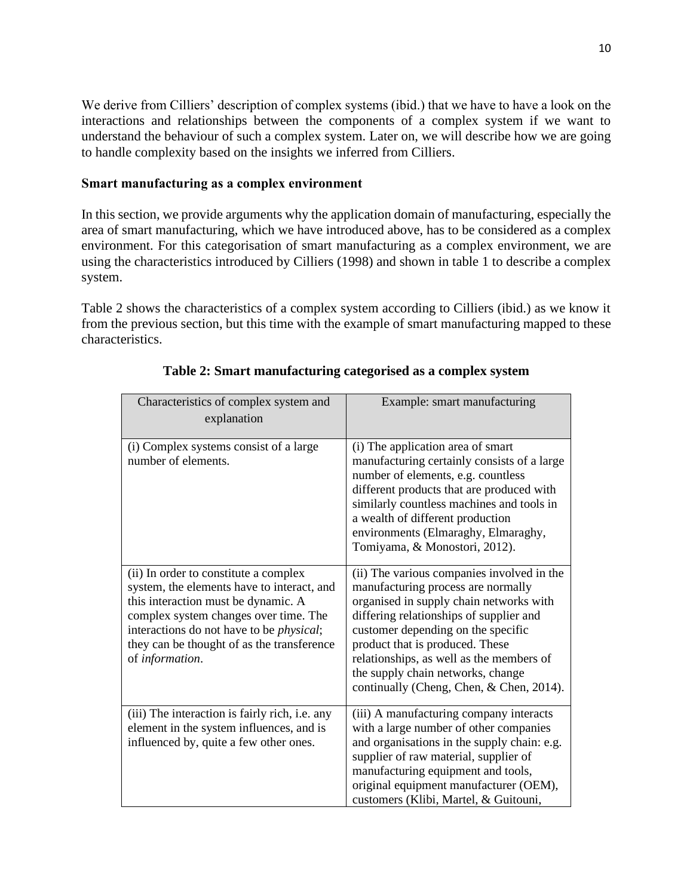We derive from Cilliers' description of complex systems (ibid.) that we have to have a look on the interactions and relationships between the components of a complex system if we want to understand the behaviour of such a complex system. Later on, we will describe how we are going to handle complexity based on the insights we inferred from Cilliers.

## **Smart manufacturing as a complex environment**

In this section, we provide arguments why the application domain of manufacturing, especially the area of smart manufacturing, which we have introduced above, has to be considered as a complex environment. For this categorisation of smart manufacturing as a complex environment, we are using the characteristics introduced by Cilliers (1998) and shown in table 1 to describe a complex system.

[Table 2](#page-10-0) shows the characteristics of a complex system according to Cilliers (ibid.) as we know it from the previous section, but this time with the example of smart manufacturing mapped to these characteristics.

<span id="page-10-0"></span>

| Characteristics of complex system and<br>explanation                                                                                                                                                                                                                                     | Example: smart manufacturing                                                                                                                                                                                                                                                                                                                                                 |
|------------------------------------------------------------------------------------------------------------------------------------------------------------------------------------------------------------------------------------------------------------------------------------------|------------------------------------------------------------------------------------------------------------------------------------------------------------------------------------------------------------------------------------------------------------------------------------------------------------------------------------------------------------------------------|
| (i) Complex systems consist of a large<br>number of elements.                                                                                                                                                                                                                            | (i) The application area of smart<br>manufacturing certainly consists of a large<br>number of elements, e.g. countless<br>different products that are produced with<br>similarly countless machines and tools in<br>a wealth of different production<br>environments (Elmaraghy, Elmaraghy,<br>Tomiyama, & Monostori, 2012).                                                 |
| (ii) In order to constitute a complex<br>system, the elements have to interact, and<br>this interaction must be dynamic. A<br>complex system changes over time. The<br>interactions do not have to be <i>physical</i> ;<br>they can be thought of as the transference<br>of information. | (ii) The various companies involved in the<br>manufacturing process are normally<br>organised in supply chain networks with<br>differing relationships of supplier and<br>customer depending on the specific<br>product that is produced. These<br>relationships, as well as the members of<br>the supply chain networks, change<br>continually (Cheng, Chen, & Chen, 2014). |
| (iii) The interaction is fairly rich, i.e. any<br>element in the system influences, and is<br>influenced by, quite a few other ones.                                                                                                                                                     | (iii) A manufacturing company interacts<br>with a large number of other companies<br>and organisations in the supply chain: e.g.<br>supplier of raw material, supplier of<br>manufacturing equipment and tools,<br>original equipment manufacturer (OEM),<br>customers (Klibi, Martel, & Guitouni,                                                                           |

# **Table 2: Smart manufacturing categorised as a complex system**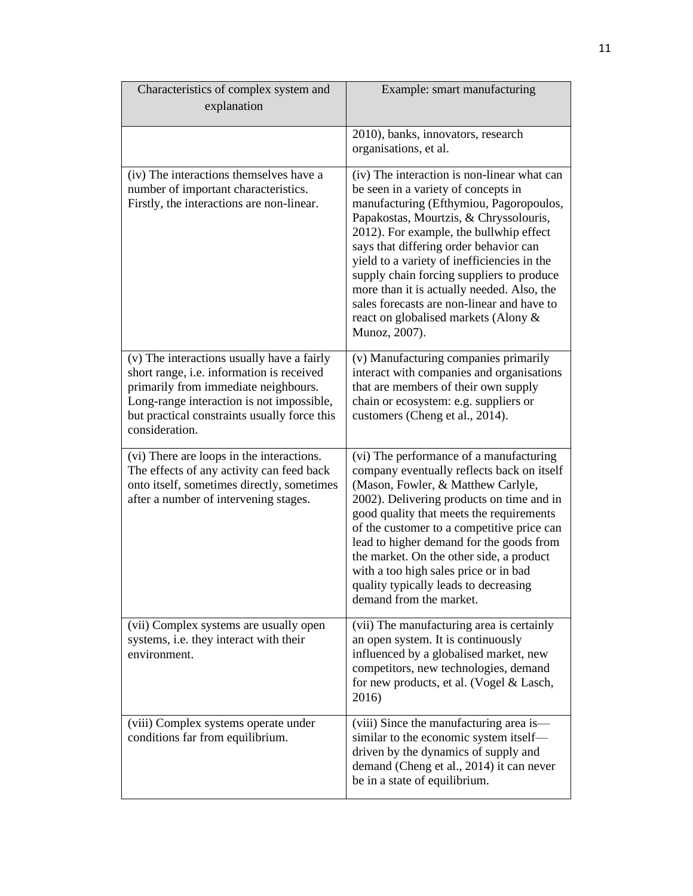| Characteristics of complex system and<br>explanation                                                                                                                                                                                           | Example: smart manufacturing                                                                                                                                                                                                                                                                                                                                                                                                                                                                                  |
|------------------------------------------------------------------------------------------------------------------------------------------------------------------------------------------------------------------------------------------------|---------------------------------------------------------------------------------------------------------------------------------------------------------------------------------------------------------------------------------------------------------------------------------------------------------------------------------------------------------------------------------------------------------------------------------------------------------------------------------------------------------------|
|                                                                                                                                                                                                                                                | 2010), banks, innovators, research<br>organisations, et al.                                                                                                                                                                                                                                                                                                                                                                                                                                                   |
| (iv) The interactions themselves have a<br>number of important characteristics.<br>Firstly, the interactions are non-linear.                                                                                                                   | (iv) The interaction is non-linear what can<br>be seen in a variety of concepts in<br>manufacturing (Efthymiou, Pagoropoulos,<br>Papakostas, Mourtzis, & Chryssolouris,<br>2012). For example, the bullwhip effect<br>says that differing order behavior can<br>yield to a variety of inefficiencies in the<br>supply chain forcing suppliers to produce<br>more than it is actually needed. Also, the<br>sales forecasts are non-linear and have to<br>react on globalised markets (Alony &<br>Munoz, 2007). |
| (v) The interactions usually have a fairly<br>short range, i.e. information is received<br>primarily from immediate neighbours.<br>Long-range interaction is not impossible,<br>but practical constraints usually force this<br>consideration. | (v) Manufacturing companies primarily<br>interact with companies and organisations<br>that are members of their own supply<br>chain or ecosystem: e.g. suppliers or<br>customers (Cheng et al., 2014).                                                                                                                                                                                                                                                                                                        |
| (vi) There are loops in the interactions.<br>The effects of any activity can feed back<br>onto itself, sometimes directly, sometimes<br>after a number of intervening stages.                                                                  | (vi) The performance of a manufacturing<br>company eventually reflects back on itself<br>(Mason, Fowler, & Matthew Carlyle,<br>2002). Delivering products on time and in<br>good quality that meets the requirements<br>of the customer to a competitive price can<br>lead to higher demand for the goods from<br>the market. On the other side, a product<br>with a too high sales price or in bad<br>quality typically leads to decreasing<br>demand from the market.                                       |
| (vii) Complex systems are usually open<br>systems, i.e. they interact with their<br>environment.                                                                                                                                               | (vii) The manufacturing area is certainly<br>an open system. It is continuously<br>influenced by a globalised market, new<br>competitors, new technologies, demand<br>for new products, et al. (Vogel & Lasch,<br>2016)                                                                                                                                                                                                                                                                                       |
| (viii) Complex systems operate under<br>conditions far from equilibrium.                                                                                                                                                                       | (viii) Since the manufacturing area is—<br>similar to the economic system itself-<br>driven by the dynamics of supply and<br>demand (Cheng et al., 2014) it can never<br>be in a state of equilibrium.                                                                                                                                                                                                                                                                                                        |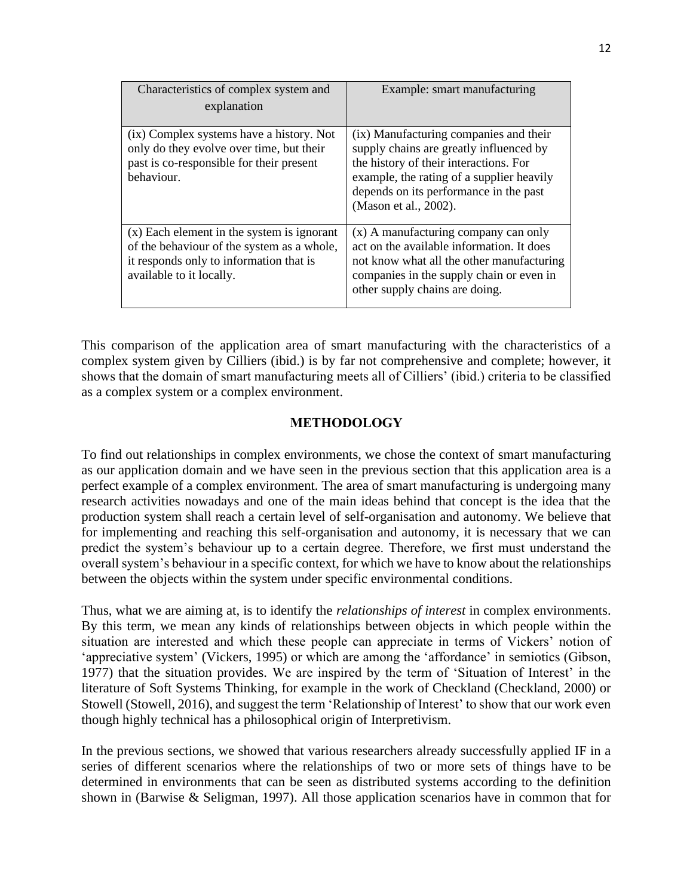| Characteristics of complex system and<br>explanation                                                                                                              | Example: smart manufacturing                                                                                                                                                                                                                |
|-------------------------------------------------------------------------------------------------------------------------------------------------------------------|---------------------------------------------------------------------------------------------------------------------------------------------------------------------------------------------------------------------------------------------|
| (ix) Complex systems have a history. Not<br>only do they evolve over time, but their<br>past is co-responsible for their present<br>behaviour.                    | (ix) Manufacturing companies and their<br>supply chains are greatly influenced by<br>the history of their interactions. For<br>example, the rating of a supplier heavily<br>depends on its performance in the past<br>(Mason et al., 2002). |
| $(x)$ Each element in the system is ignorant<br>of the behaviour of the system as a whole,<br>it responds only to information that is<br>available to it locally. | $(x)$ A manufacturing company can only<br>act on the available information. It does<br>not know what all the other manufacturing<br>companies in the supply chain or even in<br>other supply chains are doing.                              |

This comparison of the application area of smart manufacturing with the characteristics of a complex system given by Cilliers (ibid.) is by far not comprehensive and complete; however, it shows that the domain of smart manufacturing meets all of Cilliers' (ibid.) criteria to be classified as a complex system or a complex environment.

# **METHODOLOGY**

To find out relationships in complex environments, we chose the context of smart manufacturing as our application domain and we have seen in the previous section that this application area is a perfect example of a complex environment. The area of smart manufacturing is undergoing many research activities nowadays and one of the main ideas behind that concept is the idea that the production system shall reach a certain level of self-organisation and autonomy. We believe that for implementing and reaching this self-organisation and autonomy, it is necessary that we can predict the system's behaviour up to a certain degree. Therefore, we first must understand the overall system's behaviour in a specific context, for which we have to know about the relationships between the objects within the system under specific environmental conditions.

Thus, what we are aiming at, is to identify the *relationships of interest* in complex environments. By this term, we mean any kinds of relationships between objects in which people within the situation are interested and which these people can appreciate in terms of Vickers' notion of 'appreciative system' (Vickers, 1995) or which are among the 'affordance' in semiotics (Gibson, 1977) that the situation provides. We are inspired by the term of 'Situation of Interest' in the literature of Soft Systems Thinking, for example in the work of Checkland (Checkland, 2000) or Stowell (Stowell, 2016), and suggest the term 'Relationship of Interest' to show that our work even though highly technical has a philosophical origin of Interpretivism.

In the previous sections, we showed that various researchers already successfully applied IF in a series of different scenarios where the relationships of two or more sets of things have to be determined in environments that can be seen as distributed systems according to the definition shown in (Barwise & Seligman, 1997). All those application scenarios have in common that for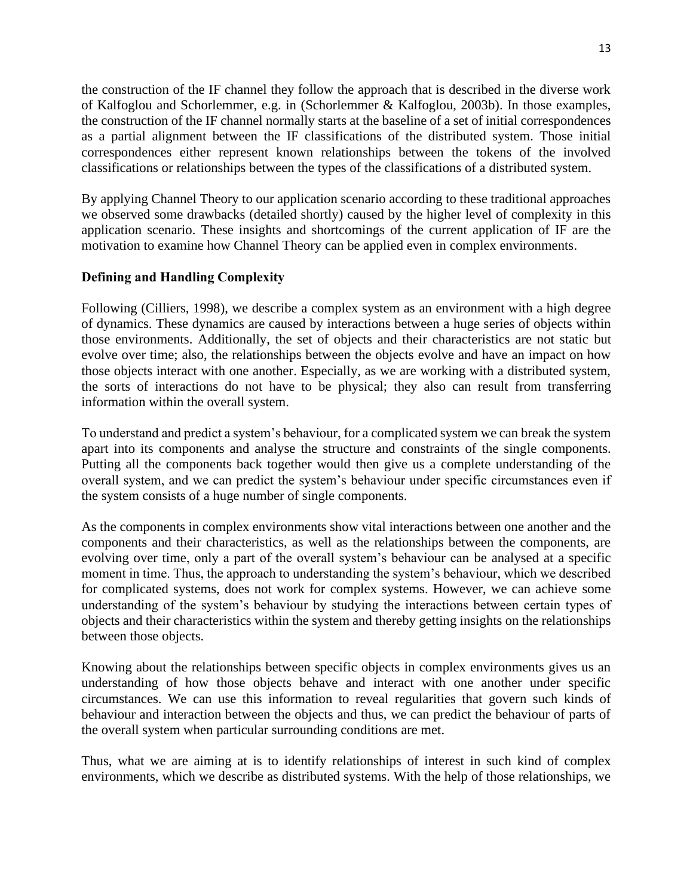the construction of the IF channel they follow the approach that is described in the diverse work of Kalfoglou and Schorlemmer, e.g. in (Schorlemmer & Kalfoglou, 2003b). In those examples, the construction of the IF channel normally starts at the baseline of a set of initial correspondences as a partial alignment between the IF classifications of the distributed system. Those initial correspondences either represent known relationships between the tokens of the involved classifications or relationships between the types of the classifications of a distributed system.

By applying Channel Theory to our application scenario according to these traditional approaches we observed some drawbacks (detailed shortly) caused by the higher level of complexity in this application scenario. These insights and shortcomings of the current application of IF are the motivation to examine how Channel Theory can be applied even in complex environments.

# **Defining and Handling Complexity**

Following (Cilliers, 1998), we describe a complex system as an environment with a high degree of dynamics. These dynamics are caused by interactions between a huge series of objects within those environments. Additionally, the set of objects and their characteristics are not static but evolve over time; also, the relationships between the objects evolve and have an impact on how those objects interact with one another. Especially, as we are working with a distributed system, the sorts of interactions do not have to be physical; they also can result from transferring information within the overall system.

To understand and predict a system's behaviour, for a complicated system we can break the system apart into its components and analyse the structure and constraints of the single components. Putting all the components back together would then give us a complete understanding of the overall system, and we can predict the system's behaviour under specific circumstances even if the system consists of a huge number of single components.

As the components in complex environments show vital interactions between one another and the components and their characteristics, as well as the relationships between the components, are evolving over time, only a part of the overall system's behaviour can be analysed at a specific moment in time. Thus, the approach to understanding the system's behaviour, which we described for complicated systems, does not work for complex systems. However, we can achieve some understanding of the system's behaviour by studying the interactions between certain types of objects and their characteristics within the system and thereby getting insights on the relationships between those objects.

Knowing about the relationships between specific objects in complex environments gives us an understanding of how those objects behave and interact with one another under specific circumstances. We can use this information to reveal regularities that govern such kinds of behaviour and interaction between the objects and thus, we can predict the behaviour of parts of the overall system when particular surrounding conditions are met.

Thus, what we are aiming at is to identify relationships of interest in such kind of complex environments, which we describe as distributed systems. With the help of those relationships, we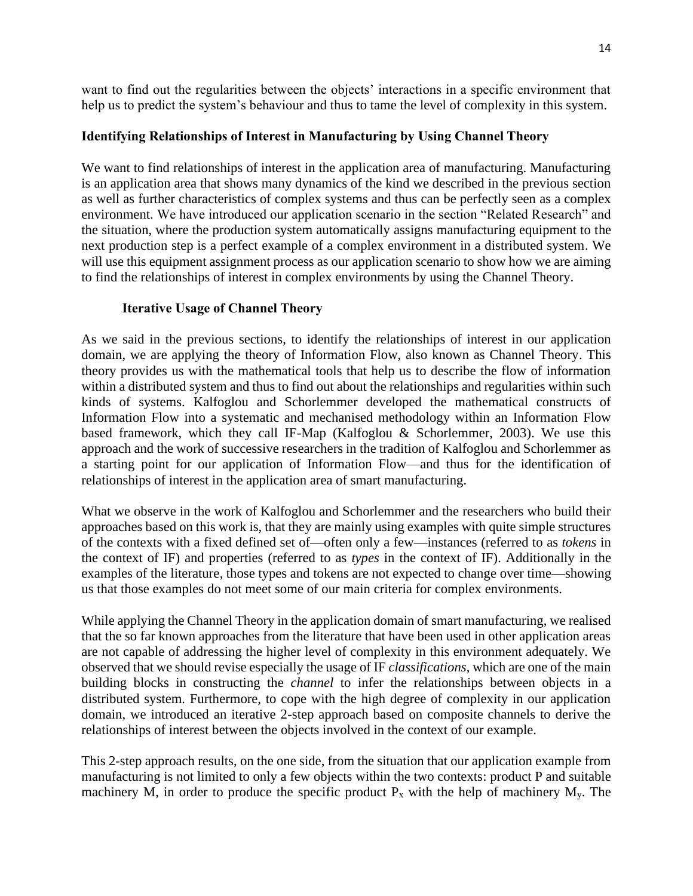want to find out the regularities between the objects' interactions in a specific environment that help us to predict the system's behaviour and thus to tame the level of complexity in this system.

## **Identifying Relationships of Interest in Manufacturing by Using Channel Theory**

We want to find relationships of interest in the application area of manufacturing. Manufacturing is an application area that shows many dynamics of the kind we described in the previous section as well as further characteristics of complex systems and thus can be perfectly seen as a complex environment. We have introduced our application scenario in the section "Related Research" and the situation, where the production system automatically assigns manufacturing equipment to the next production step is a perfect example of a complex environment in a distributed system. We will use this equipment assignment process as our application scenario to show how we are aiming to find the relationships of interest in complex environments by using the Channel Theory.

### **Iterative Usage of Channel Theory**

As we said in the previous sections, to identify the relationships of interest in our application domain, we are applying the theory of Information Flow, also known as Channel Theory. This theory provides us with the mathematical tools that help us to describe the flow of information within a distributed system and thus to find out about the relationships and regularities within such kinds of systems. Kalfoglou and Schorlemmer developed the mathematical constructs of Information Flow into a systematic and mechanised methodology within an Information Flow based framework, which they call IF-Map (Kalfoglou & Schorlemmer, 2003). We use this approach and the work of successive researchers in the tradition of Kalfoglou and Schorlemmer as a starting point for our application of Information Flow—and thus for the identification of relationships of interest in the application area of smart manufacturing.

What we observe in the work of Kalfoglou and Schorlemmer and the researchers who build their approaches based on this work is, that they are mainly using examples with quite simple structures of the contexts with a fixed defined set of—often only a few—instances (referred to as *tokens* in the context of IF) and properties (referred to as *types* in the context of IF). Additionally in the examples of the literature, those types and tokens are not expected to change over time—showing us that those examples do not meet some of our main criteria for complex environments.

While applying the Channel Theory in the application domain of smart manufacturing, we realised that the so far known approaches from the literature that have been used in other application areas are not capable of addressing the higher level of complexity in this environment adequately. We observed that we should revise especially the usage of IF *classifications*, which are one of the main building blocks in constructing the *channel* to infer the relationships between objects in a distributed system. Furthermore, to cope with the high degree of complexity in our application domain, we introduced an iterative 2-step approach based on composite channels to derive the relationships of interest between the objects involved in the context of our example.

This 2-step approach results, on the one side, from the situation that our application example from manufacturing is not limited to only a few objects within the two contexts: product P and suitable machinery M, in order to produce the specific product  $P_x$  with the help of machinery  $M_y$ . The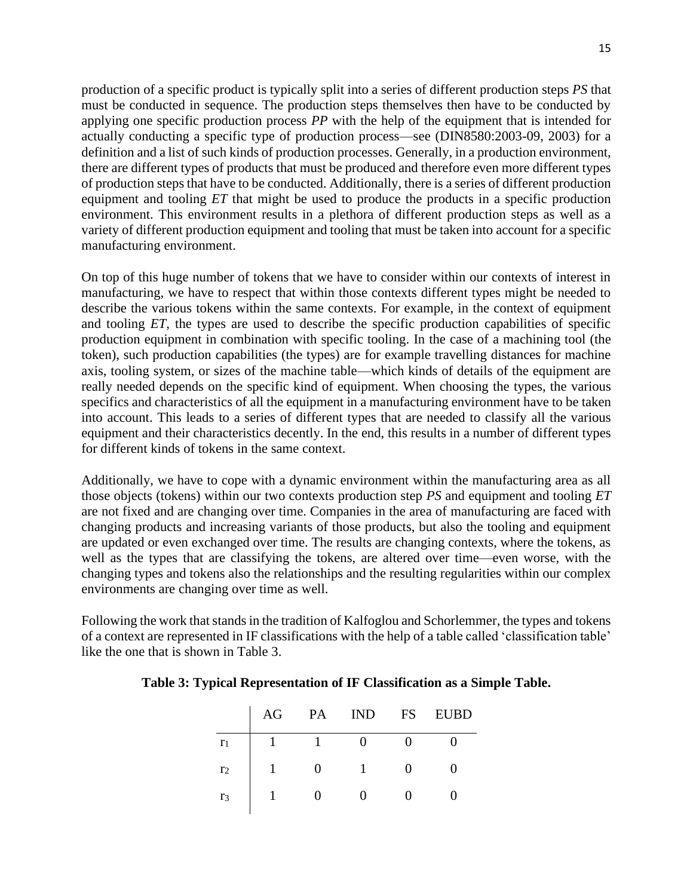15

production of a specific product is typically split into a series of different production steps *PS* that must be conducted in sequence. The production steps themselves then have to be conducted by applying one specific production process *PP* with the help of the equipment that is intended for actually conducting a specific type of production process—see (DIN8580:2003-09, 2003) for a definition and a list of such kinds of production processes. Generally, in a production environment, there are different types of products that must be produced and therefore even more different types of production steps that have to be conducted. Additionally, there is a series of different production equipment and tooling *ET* that might be used to produce the products in a specific production environment. This environment results in a plethora of different production steps as well as a variety of different production equipment and tooling that must be taken into account for a specific manufacturing environment.

On top of this huge number of tokens that we have to consider within our contexts of interest in manufacturing, we have to respect that within those contexts different types might be needed to describe the various tokens within the same contexts. For example, in the context of equipment and tooling *ET*, the types are used to describe the specific production capabilities of specific production equipment in combination with specific tooling. In the case of a machining tool (the token), such production capabilities (the types) are for example travelling distances for machine axis, tooling system, or sizes of the machine table—which kinds of details of the equipment are really needed depends on the specific kind of equipment. When choosing the types, the various specifics and characteristics of all the equipment in a manufacturing environment have to be taken into account. This leads to a series of different types that are needed to classify all the various equipment and their characteristics decently. In the end, this results in a number of different types for different kinds of tokens in the same context.

Additionally, we have to cope with a dynamic environment within the manufacturing area as all those objects (tokens) within our two contexts production step *PS* and equipment and tooling *ET* are not fixed and are changing over time. Companies in the area of manufacturing are faced with changing products and increasing variants of those products, but also the tooling and equipment are updated or even exchanged over time. The results are changing contexts, where the tokens, as well as the types that are classifying the tokens, are altered over time—even worse, with the changing types and tokens also the relationships and the resulting regularities within our complex environments are changing over time as well.

<span id="page-15-0"></span>Following the work that stands in the tradition of Kalfoglou and Schorlemmer, the types and tokens of a context are represented in IF classifications with the help of a table called 'classification table' like the one that is shown in [Table 3.](#page-15-0)

|  | Table 3: Typical Representation of IF Classification as a Simple Table. |  |  |
|--|-------------------------------------------------------------------------|--|--|
|  |                                                                         |  |  |

|                | AG | PA | <b>IND</b> | <b>FS</b> | <b>EUBD</b> |
|----------------|----|----|------------|-----------|-------------|
| r <sub>1</sub> |    |    |            |           |             |
| r <sub>2</sub> |    | 0  |            |           |             |
| r <sub>3</sub> |    |    |            |           |             |
|                |    |    |            |           |             |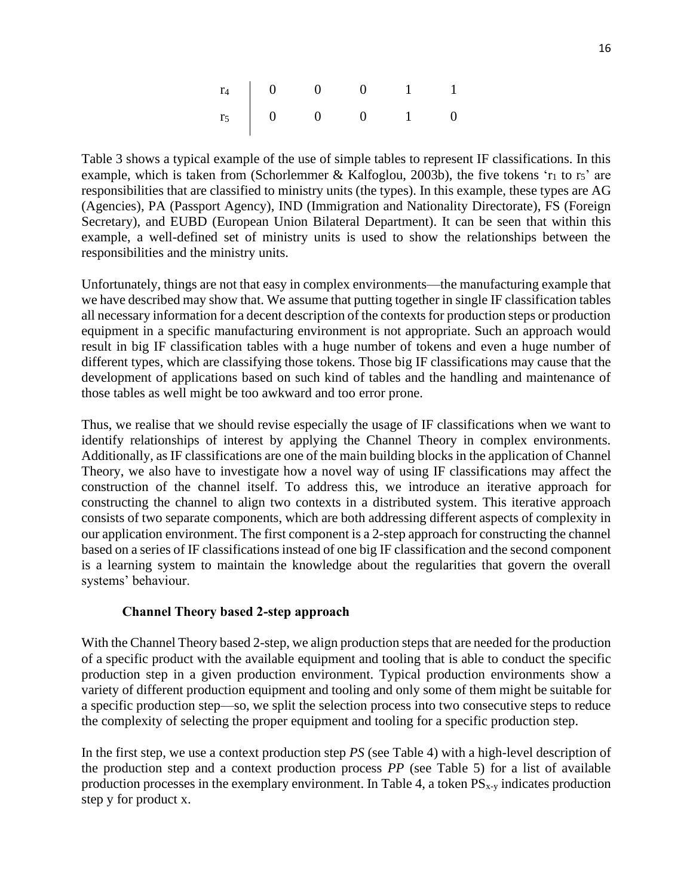|  | $\begin{array}{c cccc} r_4 & 0 & 0 & 0 & 1 & 1 \ r_5 & 0 & 0 & 0 & 1 & 0 \end{array}$ |  |
|--|---------------------------------------------------------------------------------------|--|

[Table 3](#page-15-0) shows a typical example of the use of simple tables to represent IF classifications. In this example, which is taken from (Schorlemmer & Kalfoglou, 2003b), the five tokens ' $r_1$  to  $r_5$ ' are responsibilities that are classified to ministry units (the types). In this example, these types are AG (Agencies), PA (Passport Agency), IND (Immigration and Nationality Directorate), FS (Foreign Secretary), and EUBD (European Union Bilateral Department). It can be seen that within this example, a well-defined set of ministry units is used to show the relationships between the responsibilities and the ministry units.

Unfortunately, things are not that easy in complex environments—the manufacturing example that we have described may show that. We assume that putting together in single IF classification tables all necessary information for a decent description of the contexts for production steps or production equipment in a specific manufacturing environment is not appropriate. Such an approach would result in big IF classification tables with a huge number of tokens and even a huge number of different types, which are classifying those tokens. Those big IF classifications may cause that the development of applications based on such kind of tables and the handling and maintenance of those tables as well might be too awkward and too error prone.

Thus, we realise that we should revise especially the usage of IF classifications when we want to identify relationships of interest by applying the Channel Theory in complex environments. Additionally, as IF classifications are one of the main building blocks in the application of Channel Theory, we also have to investigate how a novel way of using IF classifications may affect the construction of the channel itself. To address this, we introduce an iterative approach for constructing the channel to align two contexts in a distributed system. This iterative approach consists of two separate components, which are both addressing different aspects of complexity in our application environment. The first component is a 2-step approach for constructing the channel based on a series of IF classifications instead of one big IF classification and the second component is a learning system to maintain the knowledge about the regularities that govern the overall systems' behaviour.

# **Channel Theory based 2-step approach**

With the Channel Theory based 2-step, we align production steps that are needed for the production of a specific product with the available equipment and tooling that is able to conduct the specific production step in a given production environment. Typical production environments show a variety of different production equipment and tooling and only some of them might be suitable for a specific production step—so, we split the selection process into two consecutive steps to reduce the complexity of selecting the proper equipment and tooling for a specific production step.

In the first step, we use a context production step *PS* (see [Table 4\)](#page-17-0) with a high-level description of the production step and a context production process *PP* (see [Table 5\)](#page-17-1) for a list of available production processes in the exemplary environment. In Table 4, a token  $PS_{x-y}$  indicates production step y for product x.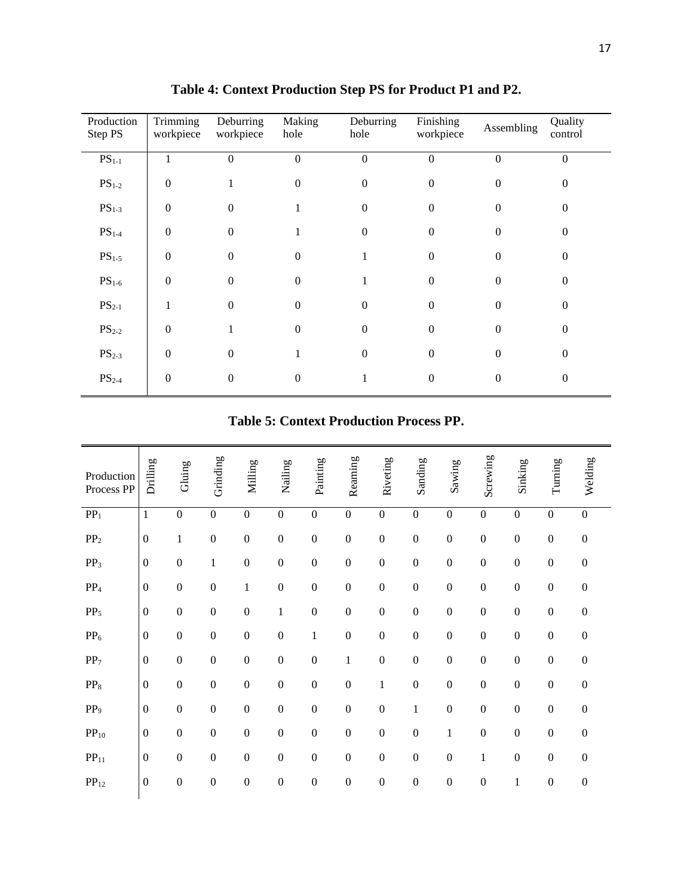<span id="page-17-0"></span>

| Production<br>Step PS | Trimming<br>workpiece | Deburring<br>workpiece | Making<br>hole   | Deburring<br>hole | Finishing<br>workpiece | Assembling   | Quality<br>control |
|-----------------------|-----------------------|------------------------|------------------|-------------------|------------------------|--------------|--------------------|
| $PS_{1-1}$            | $\mathbf{1}$          | $\boldsymbol{0}$       | $\boldsymbol{0}$ | $\boldsymbol{0}$  | $\boldsymbol{0}$       | $\mathbf{0}$ | $\boldsymbol{0}$   |
| $PS1-2$               | $\Omega$              |                        | $\overline{0}$   | 0                 | $\Omega$               | $\Omega$     | 0                  |
| $PS1-3$               | $\boldsymbol{0}$      | $\mathbf{0}$           |                  | $^{(1)}$          | $\mathbf{0}$           | $\mathbf{0}$ | 0                  |
| $PS1-4$               | $\overline{0}$        | $\mathbf{0}$           | 1                | $\theta$          | $\mathbf{0}$           | $\mathbf{0}$ | $\mathbf{0}$       |
| $PS1-5$               | $\overline{0}$        | $\mathbf{0}$           | $\boldsymbol{0}$ |                   | $\mathbf{0}$           | $\Omega$     | $\mathbf{0}$       |
| $PS1-6$               | $\Omega$              | $\Omega$               | $\theta$         |                   | $\Omega$               | $\Omega$     | 0                  |
| $PS_{2-1}$            |                       | $\theta$               | $\overline{0}$   | 0                 | $\Omega$               | $\Omega$     | 0                  |
| $PS_{2-2}$            | $\overline{0}$        |                        | $\boldsymbol{0}$ | $\Omega$          | $\boldsymbol{0}$       | $\Omega$     | $\mathbf{0}$       |
| $PS_{2-3}$            | $\Omega$              | $\overline{0}$         |                  | $\Omega$          | $\mathbf{0}$           | $\Omega$     | $\mathbf{0}$       |
| $PS_{2-4}$            | $\boldsymbol{0}$      | $\mathbf{0}$           | 0                |                   | $\mathbf{0}$           | $\mathbf{0}$ | $\mathbf{0}$       |

**Table 4: Context Production Step PS for Product P1 and P2.**

# **Table 5: Context Production Process PP.**

<span id="page-17-1"></span>

| Production<br>Process PP | Drilling         | Gluing           | Grinding         | Milling          | Nailing          | Painting         | Reaming          | Riveting         | Sanding          | Sawing           | Screwing         | Sinking          | Turning          | Welding          |
|--------------------------|------------------|------------------|------------------|------------------|------------------|------------------|------------------|------------------|------------------|------------------|------------------|------------------|------------------|------------------|
| PP <sub>1</sub>          | $\mathbf{1}$     | $\boldsymbol{0}$ | $\boldsymbol{0}$ | $\boldsymbol{0}$ | $\boldsymbol{0}$ | $\boldsymbol{0}$ | $\boldsymbol{0}$ | $\boldsymbol{0}$ | $\boldsymbol{0}$ | $\boldsymbol{0}$ | $\boldsymbol{0}$ | $\boldsymbol{0}$ | $\boldsymbol{0}$ | $\boldsymbol{0}$ |
| PP <sub>2</sub>          | $\boldsymbol{0}$ | $\mathbf{1}$     | $\boldsymbol{0}$ | $\boldsymbol{0}$ | $\boldsymbol{0}$ | $\boldsymbol{0}$ | $\mathbf{0}$     | $\boldsymbol{0}$ | $\boldsymbol{0}$ | $\boldsymbol{0}$ | $\boldsymbol{0}$ | $\boldsymbol{0}$ | $\boldsymbol{0}$ | $\boldsymbol{0}$ |
| PP <sub>3</sub>          | $\boldsymbol{0}$ | $\boldsymbol{0}$ | $\mathbf{1}$     | $\boldsymbol{0}$ | $\boldsymbol{0}$ | $\boldsymbol{0}$ | $\boldsymbol{0}$ | $\boldsymbol{0}$ | $\boldsymbol{0}$ | $\boldsymbol{0}$ | $\boldsymbol{0}$ | $\boldsymbol{0}$ | $\boldsymbol{0}$ | $\boldsymbol{0}$ |
| $PP_4$                   | $\boldsymbol{0}$ | $\boldsymbol{0}$ | $\boldsymbol{0}$ | $\,1$            | $\boldsymbol{0}$ | $\boldsymbol{0}$ | $\boldsymbol{0}$ | $\boldsymbol{0}$ | $\boldsymbol{0}$ | $\boldsymbol{0}$ | $\boldsymbol{0}$ | $\boldsymbol{0}$ | $\boldsymbol{0}$ | $\boldsymbol{0}$ |
| $PP_5$                   | $\boldsymbol{0}$ | $\boldsymbol{0}$ | $\boldsymbol{0}$ | $\boldsymbol{0}$ | 1                | $\boldsymbol{0}$ | $\boldsymbol{0}$ | $\boldsymbol{0}$ | $\boldsymbol{0}$ | $\boldsymbol{0}$ | $\boldsymbol{0}$ | $\boldsymbol{0}$ | $\boldsymbol{0}$ | $\boldsymbol{0}$ |
| PP <sub>6</sub>          | $\mathbf{0}$     | $\boldsymbol{0}$ | $\boldsymbol{0}$ | $\boldsymbol{0}$ | $\boldsymbol{0}$ | $\mathbf{1}$     | $\mathbf{0}$     | $\boldsymbol{0}$ | $\boldsymbol{0}$ | $\boldsymbol{0}$ | $\boldsymbol{0}$ | $\boldsymbol{0}$ | $\boldsymbol{0}$ | $\boldsymbol{0}$ |
| PP <sub>7</sub>          | $\boldsymbol{0}$ | $\boldsymbol{0}$ | $\boldsymbol{0}$ | $\mathbf{0}$     | $\boldsymbol{0}$ | $\boldsymbol{0}$ | $\mathbf{1}$     | $\boldsymbol{0}$ | $\mathbf{0}$     | $\boldsymbol{0}$ | $\boldsymbol{0}$ | $\overline{0}$   | $\boldsymbol{0}$ | $\boldsymbol{0}$ |
| $PP_8$                   | $\boldsymbol{0}$ | $\mathbf{0}$     | $\boldsymbol{0}$ | $\boldsymbol{0}$ | $\overline{0}$   | $\boldsymbol{0}$ | $\mathbf{0}$     | $\mathbf{1}$     | $\boldsymbol{0}$ | $\boldsymbol{0}$ | $\boldsymbol{0}$ | $\boldsymbol{0}$ | $\boldsymbol{0}$ | $\boldsymbol{0}$ |
| PP <sub>9</sub>          | $\mathbf{0}$     | $\boldsymbol{0}$ | $\boldsymbol{0}$ | $\boldsymbol{0}$ | $\boldsymbol{0}$ | $\boldsymbol{0}$ | $\boldsymbol{0}$ | $\boldsymbol{0}$ | 1                | $\boldsymbol{0}$ | $\boldsymbol{0}$ | $\boldsymbol{0}$ | $\boldsymbol{0}$ | $\boldsymbol{0}$ |
| $PP_{10}$                | $\boldsymbol{0}$ | $\boldsymbol{0}$ | $\boldsymbol{0}$ | $\boldsymbol{0}$ | $\mathbf{0}$     | $\boldsymbol{0}$ | $\boldsymbol{0}$ | $\boldsymbol{0}$ | $\mathbf{0}$     | $\mathbf{1}$     | $\boldsymbol{0}$ | $\boldsymbol{0}$ | $\boldsymbol{0}$ | $\boldsymbol{0}$ |
| PP <sub>11</sub>         | $\boldsymbol{0}$ | $\boldsymbol{0}$ | $\boldsymbol{0}$ | $\boldsymbol{0}$ | $\boldsymbol{0}$ | $\boldsymbol{0}$ | $\boldsymbol{0}$ | $\boldsymbol{0}$ | $\boldsymbol{0}$ | $\boldsymbol{0}$ | $\mathbf{1}$     | $\boldsymbol{0}$ | $\boldsymbol{0}$ | $\boldsymbol{0}$ |
| PP <sub>12</sub>         | $\boldsymbol{0}$ | $\boldsymbol{0}$ | $\boldsymbol{0}$ | $\boldsymbol{0}$ | $\boldsymbol{0}$ | $\boldsymbol{0}$ | $\boldsymbol{0}$ | $\boldsymbol{0}$ | $\boldsymbol{0}$ | $\boldsymbol{0}$ | $\boldsymbol{0}$ | $\mathbf{1}$     | $\boldsymbol{0}$ | $\boldsymbol{0}$ |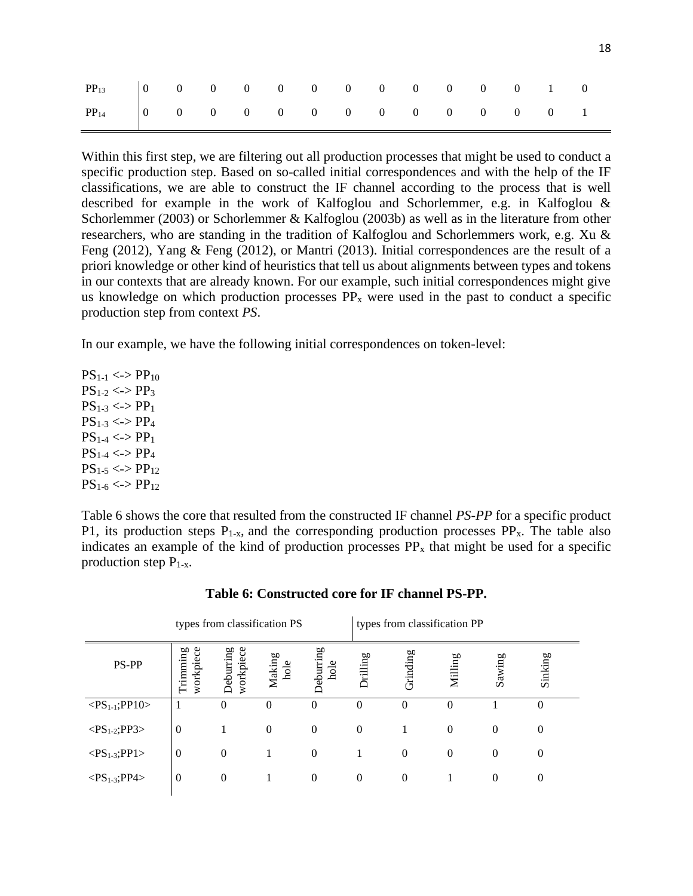| $PP_{13}$ 0 0 0 0 0 0 0 0 0 0 0 0 1 0 |  |  |  |  |  |  |  |
|---------------------------------------|--|--|--|--|--|--|--|
| $PP_{14}$ 0 0 0 0 0 0 0 0 0 0 0 0 0 1 |  |  |  |  |  |  |  |

Within this first step, we are filtering out all production processes that might be used to conduct a specific production step. Based on so-called initial correspondences and with the help of the IF classifications, we are able to construct the IF channel according to the process that is well described for example in the work of Kalfoglou and Schorlemmer, e.g. in Kalfoglou & Schorlemmer (2003) or Schorlemmer & Kalfoglou (2003b) as well as in the literature from other researchers, who are standing in the tradition of Kalfoglou and Schorlemmers work, e.g. Xu & Feng (2012), Yang & Feng (2012), or Mantri (2013). Initial correspondences are the result of a priori knowledge or other kind of heuristics that tell us about alignments between types and tokens in our contexts that are already known. For our example, such initial correspondences might give us knowledge on which production processes  $PP_x$  were used in the past to conduct a specific production step from context *PS*.

In our example, we have the following initial correspondences on token-level:

 $PS_{1-1} \le PPP_{10}$  $PS_{1-2} \le PPS_3$  $PS_{1-3} \le P_{1}$  $PS_{1-3} \le P_{4}$  $PS_{1-4} \le P_{1}$  $PS_{1-4} \le P_{2}$  $PS_{1-5} \le P_{12}$  $PS_{1-6} \le P_{12}$ 

[Table 6](#page-18-0) shows the core that resulted from the constructed IF channel *PS-PP* for a specific product P1, its production steps  $P_{1-x}$ , and the corresponding production processes  $PP_x$ . The table also indicates an example of the kind of production processes  $PP_x$  that might be used for a specific production step  $P_{1-x}$ .

<span id="page-18-0"></span>

|                             |                       | types from classification PS |                |                   | types from classification PP |                  |          |          |                  |
|-----------------------------|-----------------------|------------------------------|----------------|-------------------|------------------------------|------------------|----------|----------|------------------|
| PS-PP                       | workpiece<br>Trimming | Deburring<br>workpiece       | Making<br>hole | Deburring<br>hole | Drilling                     | Grinding         | Milling  | Sawing   | Sinking          |
| $<\!PS_{1-1};\!PP10\!>$     | 1                     | 0                            | $\Omega$       | $\Omega$          | $\Omega$                     | $\theta$         | 0        |          | $\theta$         |
| $<$ PS <sub>1-2</sub> ;PP3> | $\theta$              |                              | $\theta$       | $\overline{0}$    | $\theta$                     | 1                | $\theta$ | $\theta$ | $\boldsymbol{0}$ |
| $<\!\!PS_{1-3};\!PP1\!\!>$  | $\boldsymbol{0}$      | $\theta$                     |                | $\overline{0}$    |                              | $\theta$         | $\Omega$ | $\theta$ | $\theta$         |
| $<$ PS <sub>1-3</sub> ;PP4> | $\boldsymbol{0}$      | $\theta$                     |                | $\boldsymbol{0}$  | $\theta$                     | $\boldsymbol{0}$ |          | $\theta$ | $\boldsymbol{0}$ |
|                             |                       |                              |                |                   |                              |                  |          |          |                  |

#### **Table 6: Constructed core for IF channel PS-PP.**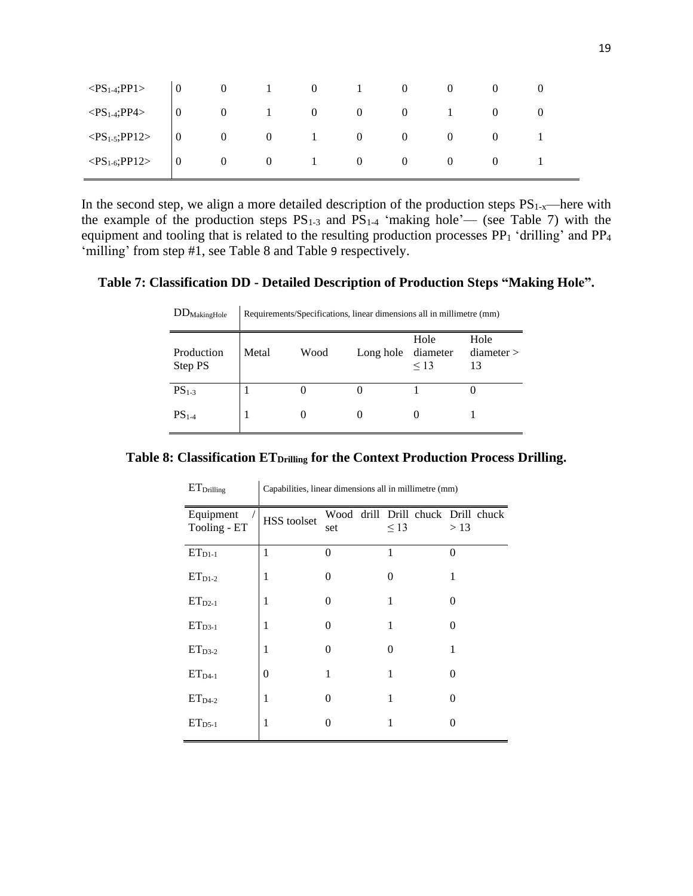|  |  |  |  | $\langle PS_{1\text{-}4}; PP1 \rangle$ 0 0 1 0 1 0 0 0 0<br>$\langle PS_{1.4}$ ;PP4> $\begin{vmatrix} 0 & 0 & 1 & 0 & 0 & 1 & 0 \end{vmatrix}$<br>$\langle PS_{1-5}$ ;PP12> $\begin{vmatrix} 0 & 0 & 0 & 1 & 0 & 0 & 0 & 0 \end{vmatrix}$<br>$\langle PS_{1-6}$ ;PP12> $\begin{vmatrix} 0 & 0 & 0 \end{vmatrix}$ = 0 = 0 = 0 = 0 = 0 = 0 = 0 = 1 |
|--|--|--|--|--------------------------------------------------------------------------------------------------------------------------------------------------------------------------------------------------------------------------------------------------------------------------------------------------------------------------------------------------|

In the second step, we align a more detailed description of the production steps  $PS_{1-x}$ —here with the example of the production steps  $PS_{1-3}$  and  $PS_{1-4}$  'making hole'— (see [Table 7\)](#page-19-0) with the equipment and tooling that is related to the resulting production processes PP<sub>1</sub> 'drilling' and PP<sub>4</sub> 'milling' from step #1, see [Table 8](#page-19-1) and [Table](#page-20-0) 9 respectively.

# <span id="page-19-0"></span>**Table 7: Classification DD - Detailed Description of Production Steps "Making Hole".**

| $DD_{MakingHole}$     | Requirements/Specifications, linear dimensions all in millimetre (mm) |      |           |                               |                        |  |  |  |  |  |  |
|-----------------------|-----------------------------------------------------------------------|------|-----------|-------------------------------|------------------------|--|--|--|--|--|--|
| Production<br>Step PS | Metal                                                                 | Wood | Long hole | Hole<br>diameter<br>$\leq$ 13 | Hole<br>diameter<br>13 |  |  |  |  |  |  |
| $PS1-3$               |                                                                       | O    |           |                               |                        |  |  |  |  |  |  |
| $PS1-4$               |                                                                       | 0    | 0         |                               |                        |  |  |  |  |  |  |

<span id="page-19-1"></span>**Table 8: Classification ETDrilling for the Context Production Process Drilling.**

| ET <sub>Drilling</sub>    | Capabilities, linear dimensions all in millimetre (mm) |          |                                                 |          |  |  |  |  |  |
|---------------------------|--------------------------------------------------------|----------|-------------------------------------------------|----------|--|--|--|--|--|
| Equipment<br>Tooling - ET | HSS toolset                                            | set      | Wood drill Drill chuck Drill chuck<br>$\leq$ 13 | >13      |  |  |  |  |  |
| $ETD1-1$                  | 1                                                      | $\theta$ | 1                                               | $\theta$ |  |  |  |  |  |
| $ET_{D1-2}$               | 1                                                      | $\Omega$ | 0                                               | 1        |  |  |  |  |  |
| $ET_{D2-1}$               | 1                                                      | 0        | 1                                               | 0        |  |  |  |  |  |
| $ET_{D3-1}$               | 1                                                      | $\Omega$ | 1                                               | 0        |  |  |  |  |  |
| $ET_{D3-2}$               | 1                                                      | 0        | 0                                               | 1        |  |  |  |  |  |
| $ET_{D4-1}$               | $\theta$                                               | 1        | 1                                               | 0        |  |  |  |  |  |
| $ET_{D4-2}$               | 1                                                      | $\Omega$ | 1                                               | 0        |  |  |  |  |  |
| $ET_{D5-1}$               | 1                                                      | 0        | 1                                               | 0        |  |  |  |  |  |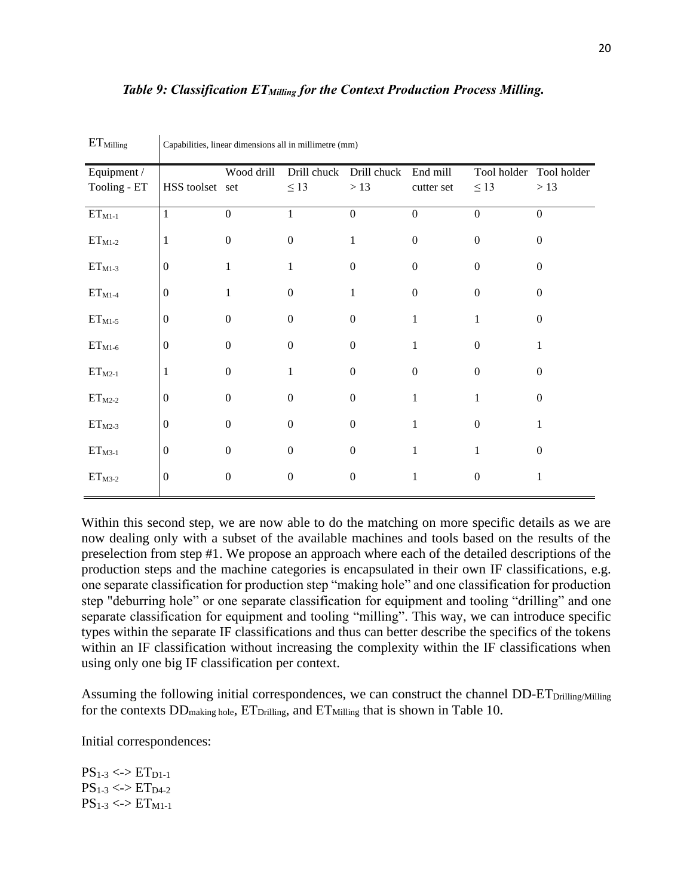## <span id="page-20-0"></span>*Table 9: Classification ETMilling for the Context Production Process Milling.*

| Equipment /<br>Tooling - ET | HSS toolset set  | Wood drill       | Drill chuck<br>$\leq$ 13 | Drill chuck<br>>13 | End mill<br>cutter set | Tool holder<br>$\leq$ 13 | Tool holder<br>>13 |
|-----------------------------|------------------|------------------|--------------------------|--------------------|------------------------|--------------------------|--------------------|
| $ET_{M1-1}$                 | $\mathbf{1}$     | $\boldsymbol{0}$ | $\mathbf{1}$             | $\overline{0}$     | $\boldsymbol{0}$       | $\overline{0}$           | $\boldsymbol{0}$   |
| $ET_{M1-2}$                 | $\mathbf{1}$     | $\boldsymbol{0}$ | $\boldsymbol{0}$         | 1                  | $\mathbf{0}$           | $\overline{0}$           | $\boldsymbol{0}$   |
| $ET_{M1-3}$                 | $\mathbf{0}$     | $\mathbf{1}$     | 1                        | $\overline{0}$     | $\boldsymbol{0}$       | $\overline{0}$           | $\boldsymbol{0}$   |
| $ET_{M1-4}$                 | $\boldsymbol{0}$ | 1                | $\boldsymbol{0}$         | 1                  | $\boldsymbol{0}$       | $\overline{0}$           | $\boldsymbol{0}$   |
| $ET_{M1-5}$                 | $\boldsymbol{0}$ | $\boldsymbol{0}$ | 0                        | $\theta$           | 1                      |                          | 0                  |
| $ET_{M1-6}$                 | $\overline{0}$   | $\overline{0}$   | $\overline{0}$           | $\boldsymbol{0}$   | 1                      | $\Omega$                 |                    |
| $ET_{M2-1}$                 | 1                | $\overline{0}$   | 1                        | $\Omega$           | $\mathbf{0}$           | $\Omega$                 | $\Omega$           |
| $ET_{M2-2}$                 | $\boldsymbol{0}$ | $\Omega$         | $\overline{0}$           | $\Omega$           | 1                      |                          | $\Omega$           |
| $ET_{M2-3}$                 | $\boldsymbol{0}$ | $\Omega$         | $\Omega$                 | $\Omega$           | 1                      | $\Omega$                 |                    |
| $ETM3-1}$                   | $\boldsymbol{0}$ | $\Omega$         | $\Omega$                 | $\Omega$           |                        |                          | 0                  |
| $ETM3-2}$                   | $\boldsymbol{0}$ | $\mathbf{0}$     | $\boldsymbol{0}$         | $\boldsymbol{0}$   |                        | $\overline{0}$           |                    |

 $ET<sub>Milling</sub>$  Capabilities, linear dimensions all in millimetre (mm)

Within this second step, we are now able to do the matching on more specific details as we are now dealing only with a subset of the available machines and tools based on the results of the preselection from step #1. We propose an approach where each of the detailed descriptions of the production steps and the machine categories is encapsulated in their own IF classifications, e.g. one separate classification for production step "making hole" and one classification for production step "deburring hole" or one separate classification for equipment and tooling "drilling" and one separate classification for equipment and tooling "milling". This way, we can introduce specific types within the separate IF classifications and thus can better describe the specifics of the tokens within an IF classification without increasing the complexity within the IF classifications when using only one big IF classification per context.

Assuming the following initial correspondences, we can construct the channel DD-ET<sub>Drilling</sub>/Milling for the contexts  $DD_{\text{making hole}}$ ,  $ET_{\text{Drilling}}$ , and  $ET_{\text{Milling}}$  that is shown in [Table 10.](#page-21-0)

Initial correspondences:

 $PS_{1-3} \le D \le T_{D1-1}$  $PS_{1-3} \le PST_{D4-2}$  $PS_{1-3} \le P1_{M1-1}$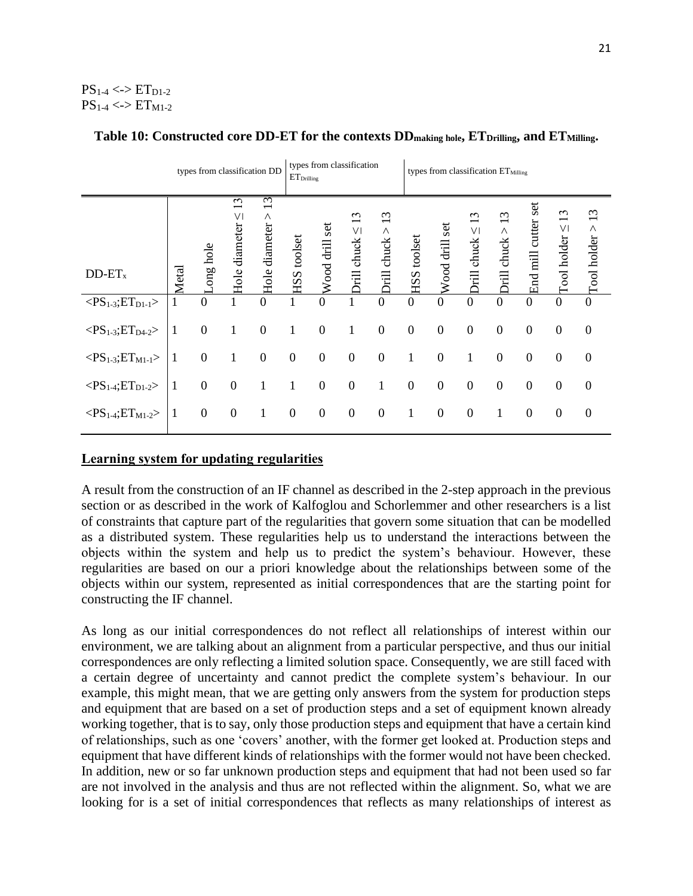# $PS_{1-4} \leq D \leq ETD_{1-2}$  $PS_{1-4} \le PST_{M1-2}$

|                                                | types from classification DD<br>$\mathrm{ET}_{\mathrm{Drilling}}$ |                  |                                          |                             |                    | types from classification |                                    |                               | types from classification ET <sub>Milling</sub> |                   |                                                                |                                                             |                        |                                             |                             |
|------------------------------------------------|-------------------------------------------------------------------|------------------|------------------------------------------|-----------------------------|--------------------|---------------------------|------------------------------------|-------------------------------|-------------------------------------------------|-------------------|----------------------------------------------------------------|-------------------------------------------------------------|------------------------|---------------------------------------------|-----------------------------|
| $DD-ET_x$                                      | Metal                                                             | ong hole         | $\epsilon$<br>$\vee$<br>diameter<br>Hole | 13<br>Λ<br>diameter<br>Hole | <b>HSS</b> toolset | Wood drill set            | 13<br>$\vee$<br><b>Drill</b> chuck | 13<br>Λ<br><b>Drill</b> chuck | toolset<br>HSS-                                 | set<br>Wood drill | $\epsilon$<br>$\overline{\phantom{0}}$<br>VI<br>chuck<br>Drill | $\omega$<br>$\overline{\phantom{0}}$<br>Λ<br>chuck<br>Drill | set<br>End mill cutter | $\sim$<br>$\text{I}\text{ool}\text{holder}$ | 13<br>$\Gamma$ ool holder > |
| $<\!\!PS_{1-3};ET_{D1-1}\!\!>$                 |                                                                   | $\mathbf{0}$     |                                          | $\overline{0}$              |                    | $\overline{0}$            |                                    | $\boldsymbol{0}$              | $\boldsymbol{0}$                                | $\overline{0}$    | $\overline{0}$                                                 | $\overline{0}$                                              | $\Omega$               | $\boldsymbol{0}$                            | $\overline{0}$              |
| $<\!\!PS_{1\text{-}3};\!ET_{D4\text{-}2}\!\!>$ | 1                                                                 | $\mathbf{0}$     | 1                                        | $\boldsymbol{0}$            | 1                  | $\mathbf{0}$              | 1                                  | $\boldsymbol{0}$              | $\mathbf{0}$                                    | $\boldsymbol{0}$  | $\boldsymbol{0}$                                               | $\boldsymbol{0}$                                            | $\overline{0}$         | $\boldsymbol{0}$                            | $\mathbf{0}$                |
| $<\!\!PS_{1-3};ET_{M1-1}\!\!>$                 |                                                                   | $\boldsymbol{0}$ | 1                                        | $\overline{0}$              | $\mathbf{0}$       | $\overline{0}$            | $\boldsymbol{0}$                   | $\boldsymbol{0}$              | 1                                               | $\boldsymbol{0}$  | 1                                                              | $\boldsymbol{0}$                                            | $\boldsymbol{0}$       | $\boldsymbol{0}$                            | $\mathbf{0}$                |
| $<$ PS <sub>1-4</sub> ;ET <sub>D1-2</sub> >    | 1                                                                 | $\boldsymbol{0}$ | $\boldsymbol{0}$                         | 1                           | 1                  | $\boldsymbol{0}$          | $\boldsymbol{0}$                   | 1                             | $\boldsymbol{0}$                                | $\boldsymbol{0}$  | $\boldsymbol{0}$                                               | $\boldsymbol{0}$                                            | $\overline{0}$         | $\boldsymbol{0}$                            | $\boldsymbol{0}$            |
| $<\!\!PS_{1\text{-}4};\!ET_{M1\text{-}2}\!\!>$ | 1                                                                 | $\boldsymbol{0}$ | $\boldsymbol{0}$                         | $\mathbf{1}$                | $\boldsymbol{0}$   | $\boldsymbol{0}$          | $\boldsymbol{0}$                   | $\boldsymbol{0}$              | 1                                               | $\boldsymbol{0}$  | $\boldsymbol{0}$                                               | 1                                                           | $\boldsymbol{0}$       | $\boldsymbol{0}$                            | $\boldsymbol{0}$            |

# <span id="page-21-0"></span>**Table 10: Constructed core DD-ET for the contexts DDmaking hole, ETDrilling, and ETMilling.**

# **Learning system for updating regularities**

A result from the construction of an IF channel as described in the 2-step approach in the previous section or as described in the work of Kalfoglou and Schorlemmer and other researchers is a list of constraints that capture part of the regularities that govern some situation that can be modelled as a distributed system. These regularities help us to understand the interactions between the objects within the system and help us to predict the system's behaviour. However, these regularities are based on our a priori knowledge about the relationships between some of the objects within our system, represented as initial correspondences that are the starting point for constructing the IF channel.

As long as our initial correspondences do not reflect all relationships of interest within our environment, we are talking about an alignment from a particular perspective, and thus our initial correspondences are only reflecting a limited solution space. Consequently, we are still faced with a certain degree of uncertainty and cannot predict the complete system's behaviour. In our example, this might mean, that we are getting only answers from the system for production steps and equipment that are based on a set of production steps and a set of equipment known already working together, that is to say, only those production steps and equipment that have a certain kind of relationships, such as one 'covers' another, with the former get looked at. Production steps and equipment that have different kinds of relationships with the former would not have been checked. In addition, new or so far unknown production steps and equipment that had not been used so far are not involved in the analysis and thus are not reflected within the alignment. So, what we are looking for is a set of initial correspondences that reflects as many relationships of interest as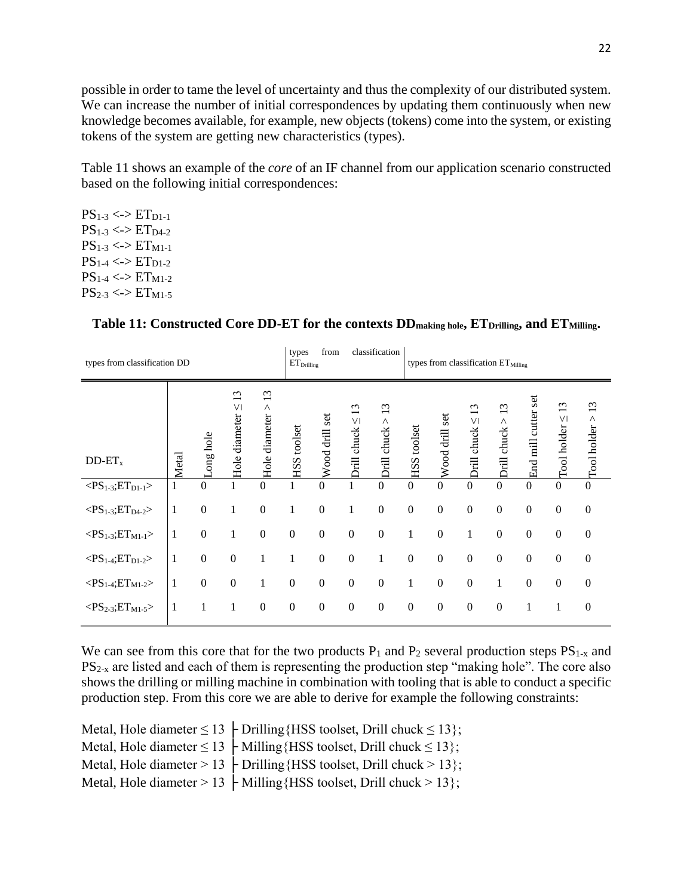possible in order to tame the level of uncertainty and thus the complexity of our distributed system. We can increase the number of initial correspondences by updating them continuously when new knowledge becomes available, for example, new objects (tokens) come into the system, or existing tokens of the system are getting new characteristics (types).

[Table 11](#page-22-0) shows an example of the *core* of an IF channel from our application scenario constructed based on the following initial correspondences:

 $PS_{1-3} \le P \le T_{D1-1}$  $PS_{1-3} \le PST_{D4-2}$  $PS_{1-3} \le P \le T_{M1-1}$  $PS_{1-4} \le P1_{D1-2}$  $PS_{1-4}$  <->  $ET_{M1-2}$  $PS_{2-3} \le PST_{M1-5}$ 

| types from classification DD                   |       |                  |                            |                          |                    | from<br>$\mathrm{ET}_{\mathrm{Drilling}}$ |                                                                   | classification              |                    |                   |                                          | types from classification ET <sub>Milling</sub> |                        |                                  |                     |
|------------------------------------------------|-------|------------------|----------------------------|--------------------------|--------------------|-------------------------------------------|-------------------------------------------------------------------|-----------------------------|--------------------|-------------------|------------------------------------------|-------------------------------------------------|------------------------|----------------------------------|---------------------|
| $DD-ET_x$                                      | Metal | ong hole         | 13<br>Hole diameter $\leq$ | 13<br>Λ<br>Hole diameter | <b>HSS</b> toolset | Wood drill set                            | $\epsilon$<br>$\overline{\phantom{0}}$<br>$\vee\,$<br>Drill chuck | 13<br>Λ<br>chuck :<br>Drill | <b>HSS</b> toolset | set<br>Wood drill | $\epsilon$<br>$\vee$<br>chuck:<br>Dirill | $\omega$<br>$\wedge$<br>chuck:<br>Drill         | set<br>End mill cutter | 13<br>$\Gamma$ ool holder $\leq$ | 13<br>Tool holder > |
| $\overline{$                                   |       | $\overline{0}$   |                            | $\Omega$                 |                    | $\overline{0}$                            |                                                                   | $\boldsymbol{0}$            | $\mathbf{0}$       | $\overline{0}$    | $\overline{0}$                           | $\Omega$                                        | $\theta$               | $\overline{0}$                   | $\boldsymbol{0}$    |
| $<\!\!PS_{1\text{-}3};\!ET_{D4\text{-}2}\!\!>$ | 1     | $\boldsymbol{0}$ | 1                          | $\boldsymbol{0}$         | 1                  | $\boldsymbol{0}$                          | 1                                                                 | $\boldsymbol{0}$            | $\boldsymbol{0}$   | $\mathbf{0}$      | $\mathbf{0}$                             | $\theta$                                        | $\mathbf{0}$           | $\boldsymbol{0}$                 | $\mathbf{0}$        |
| $<\!\!PS_{1\text{-}3};\!ET_{M1\text{-}1}\!\!>$ | 1     | $\boldsymbol{0}$ | $\mathbf 1$                | $\boldsymbol{0}$         | $\boldsymbol{0}$   | $\boldsymbol{0}$                          | $\boldsymbol{0}$                                                  | $\boldsymbol{0}$            | 1                  | $\boldsymbol{0}$  |                                          | $\boldsymbol{0}$                                | $\boldsymbol{0}$       | $\boldsymbol{0}$                 | $\boldsymbol{0}$    |
| $<\!\!PS_{1\text{-}4};\!ET_{D1\text{-}2}\!\!>$ | 1     | $\boldsymbol{0}$ | $\boldsymbol{0}$           | $\mathbf{1}$             | 1                  | $\boldsymbol{0}$                          | $\boldsymbol{0}$                                                  | $\mathbf{1}$                | $\boldsymbol{0}$   | $\boldsymbol{0}$  | $\mathbf{0}$                             | $\overline{0}$                                  | $\overline{0}$         | $\boldsymbol{0}$                 | $\boldsymbol{0}$    |
| $<$ PS <sub>1-4</sub> ;ET <sub>M1-2</sub> >    | 1     | $\boldsymbol{0}$ | $\boldsymbol{0}$           | 1                        | $\boldsymbol{0}$   | $\mathbf{0}$                              | $\boldsymbol{0}$                                                  | $\boldsymbol{0}$            | 1                  | $\boldsymbol{0}$  | $\boldsymbol{0}$                         | 1                                               | $\overline{0}$         | $\boldsymbol{0}$                 | $\boldsymbol{0}$    |
| $<\!\!PS_{2-3};ET_{M1-5}\!\!>$                 | 1     | $\mathbf{1}$     | 1                          | $\boldsymbol{0}$         | $\boldsymbol{0}$   | $\boldsymbol{0}$                          | $\boldsymbol{0}$                                                  | $\boldsymbol{0}$            | $\boldsymbol{0}$   | $\boldsymbol{0}$  | $\boldsymbol{0}$                         | $\mathbf{0}$                                    | $\mathbf 1$            | 1                                | $\boldsymbol{0}$    |

#### <span id="page-22-0"></span>**Table 11: Constructed Core DD-ET for the contexts DDmaking hole, ETDrilling, and ETMilling.**

We can see from this core that for the two products  $P_1$  and  $P_2$  several production steps  $PS_{1-x}$  and  $PS_{2-x}$  are listed and each of them is representing the production step "making hole". The core also shows the drilling or milling machine in combination with tooling that is able to conduct a specific production step. From this core we are able to derive for example the following constraints:

Metal, Hole diameter  $\leq 13$   $\vdash$  Drilling {HSS toolset, Drill chuck  $\leq 13$ }; Metal, Hole diameter  $\leq 13$   $\vdash$  Milling {HSS toolset, Drill chuck  $\leq 13$ }; Metal, Hole diameter > 13  $\vdash$  Drilling {HSS toolset, Drill chuck > 13}; Metal, Hole diameter > 13  $\vdash$  Milling {HSS toolset, Drill chuck > 13};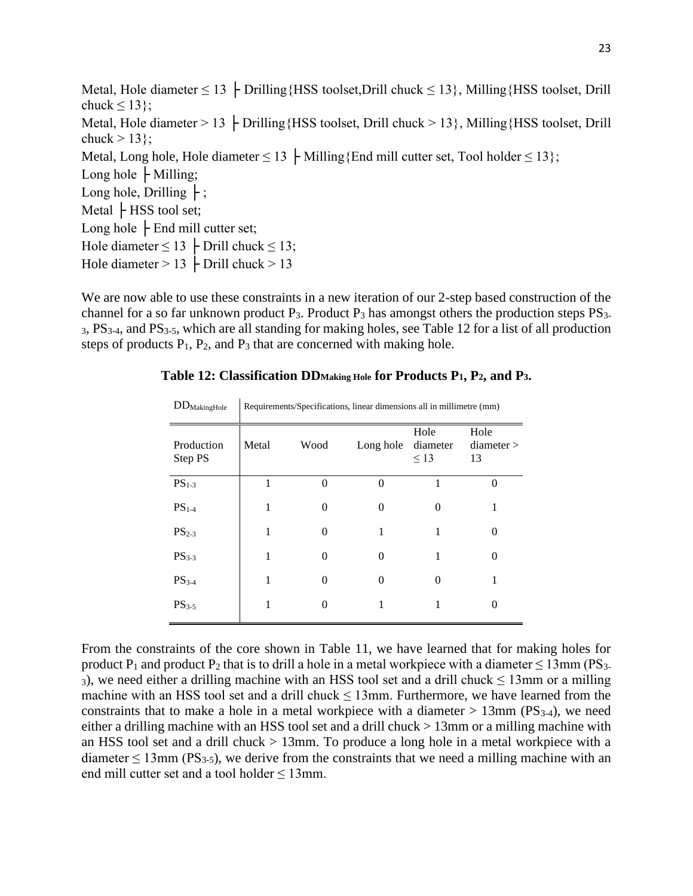Metal, Hole diameter  $\leq 13$   $\vdash$  Drilling{HSS toolset, Drill chuck  $\leq 13$ }, Milling{HSS toolset, Drill chuck  $\leq 13$ ; Metal, Hole diameter  $> 13$   $\vdash$  Drilling{HSS toolset, Drill chuck  $> 13$ }, Milling{HSS toolset, Drill chuck  $> 13$ ; Metal, Long hole, Hole diameter  $\leq 13$   $\vdash$  Milling{End mill cutter set, Tool holder  $\leq 13$ }; Long hole  $\vdash$  Milling; Long hole, Drilling  $\vdash$ ; Metal  $\mathsf{\vdash}$  HSS tool set; Long hole  $\mathsf{\vdash}$  End mill cutter set; Hole diameter  $\leq 13$   $\vdash$  Drill chuck  $\leq 13$ ; Hole diameter  $> 13$   $\vdash$  Drill chuck  $> 13$ 

<span id="page-23-0"></span>We are now able to use these constraints in a new iteration of our 2-step based construction of the channel for a so far unknown product  $P_3$ . Product  $P_3$  has amongst others the production steps  $PS_3$ . <sup>3</sup>, PS3-4, and PS3-5, which are all standing for making holes, see [Table 12](#page-23-0) for a list of all production steps of products  $P_1$ ,  $P_2$ , and  $P_3$  that are concerned with making hole.

### **Table 12: Classification DDMaking Hole for Products P1, P2, and P3.**

| $DD_{MakingHole}$     | Requirements/Specifications, linear dimensions all in millimetre (mm) |                   |           |                               |                        |  |  |  |  |  |  |  |
|-----------------------|-----------------------------------------------------------------------|-------------------|-----------|-------------------------------|------------------------|--|--|--|--|--|--|--|
| Production<br>Step PS | Metal<br>Wood                                                         |                   | Long hole | Hole<br>diameter<br>$\leq$ 13 | Hole<br>diameter<br>13 |  |  |  |  |  |  |  |
| $PS1-3$               |                                                                       | 0                 | $\Omega$  |                               | $\Omega$               |  |  |  |  |  |  |  |
| $PS1-4$               |                                                                       |                   | 0         | 0                             |                        |  |  |  |  |  |  |  |
| $PS_{2-3}$            |                                                                       | $\mathcal{O}$     |           |                               | $\theta$               |  |  |  |  |  |  |  |
| $PS3-3$               | 1                                                                     | $\mathbf{\Omega}$ | 0         |                               | 0                      |  |  |  |  |  |  |  |
| $PS3-4$               | 1                                                                     | $\mathcal{O}$     | 0         | 0                             |                        |  |  |  |  |  |  |  |
| $PS_{3-5}$            |                                                                       |                   |           |                               | $\theta$               |  |  |  |  |  |  |  |
|                       |                                                                       |                   |           |                               |                        |  |  |  |  |  |  |  |

From the constraints of the core shown in [Table 11,](#page-22-0) we have learned that for making holes for product P<sub>1</sub> and product P<sub>2</sub> that is to drill a hole in a metal workpiece with a diameter  $\leq 13$ mm (PS<sub>3-</sub> 3), we need either a drilling machine with an HSS tool set and a drill chuck  $\leq 13$ mm or a milling machine with an HSS tool set and a drill chuck  $\leq 13$ mm. Furthermore, we have learned from the constraints that to make a hole in a metal workpiece with a diameter  $> 13$ mm (PS<sub>3-4</sub>), we need either a drilling machine with an HSS tool set and a drill chuck > 13mm or a milling machine with an HSS tool set and a drill chuck > 13mm. To produce a long hole in a metal workpiece with a diameter  $\leq$  13mm (PS<sub>3-5</sub>), we derive from the constraints that we need a milling machine with an end mill cutter set and a tool holder  $\leq 13$ mm.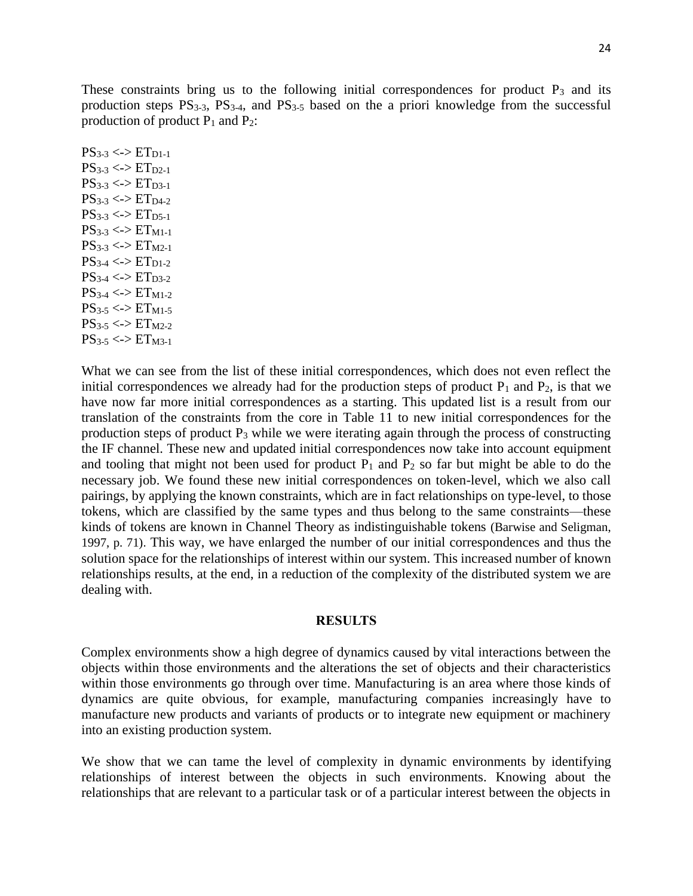These constraints bring us to the following initial correspondences for product  $P_3$  and its production steps  $PS_{3-3}$ ,  $PS_{3-4}$ , and  $PS_{3-5}$  based on the a priori knowledge from the successful production of product  $P_1$  and  $P_2$ :

 $PS_{3-3} \le P \to ET_{D1-1}$  $PS_{3-3} \le P1_{D2-1}$  $PS_{3-3} \le P_{ID3-1}$  $PS_{3-3} \le PST_{D4-2}$  $PS_{3-3} \le P \le T_{D5-1}$  $PS_{3-3} \le PST_{M1-1}$  $PS_{3-3} \le D \to ET_{M2-1}$  $PS_{3-4} \le P_{D1-2}$  $PS_{3-4} \le PST_{D3-2}$  $PS_{3-4} \le PST_{M1-2}$  $PS_{3-5} \le P_{M1-5}$  $PS_{3-5} \le PST_{M2-2}$  $PS_{3-5} \le PST_{M3-1}$ 

What we can see from the list of these initial correspondences, which does not even reflect the initial correspondences we already had for the production steps of product  $P_1$  and  $P_2$ , is that we have now far more initial correspondences as a starting. This updated list is a result from our translation of the constraints from the core in [Table 11](#page-22-0) to new initial correspondences for the production steps of product  $P_3$  while we were iterating again through the process of constructing the IF channel. These new and updated initial correspondences now take into account equipment and tooling that might not been used for product  $P_1$  and  $P_2$  so far but might be able to do the necessary job. We found these new initial correspondences on token-level, which we also call pairings, by applying the known constraints, which are in fact relationships on type-level, to those tokens, which are classified by the same types and thus belong to the same constraints—these kinds of tokens are known in Channel Theory as indistinguishable tokens (Barwise and Seligman, 1997, p. 71). This way, we have enlarged the number of our initial correspondences and thus the solution space for the relationships of interest within our system. This increased number of known relationships results, at the end, in a reduction of the complexity of the distributed system we are dealing with.

#### **RESULTS**

Complex environments show a high degree of dynamics caused by vital interactions between the objects within those environments and the alterations the set of objects and their characteristics within those environments go through over time. Manufacturing is an area where those kinds of dynamics are quite obvious, for example, manufacturing companies increasingly have to manufacture new products and variants of products or to integrate new equipment or machinery into an existing production system.

We show that we can tame the level of complexity in dynamic environments by identifying relationships of interest between the objects in such environments. Knowing about the relationships that are relevant to a particular task or of a particular interest between the objects in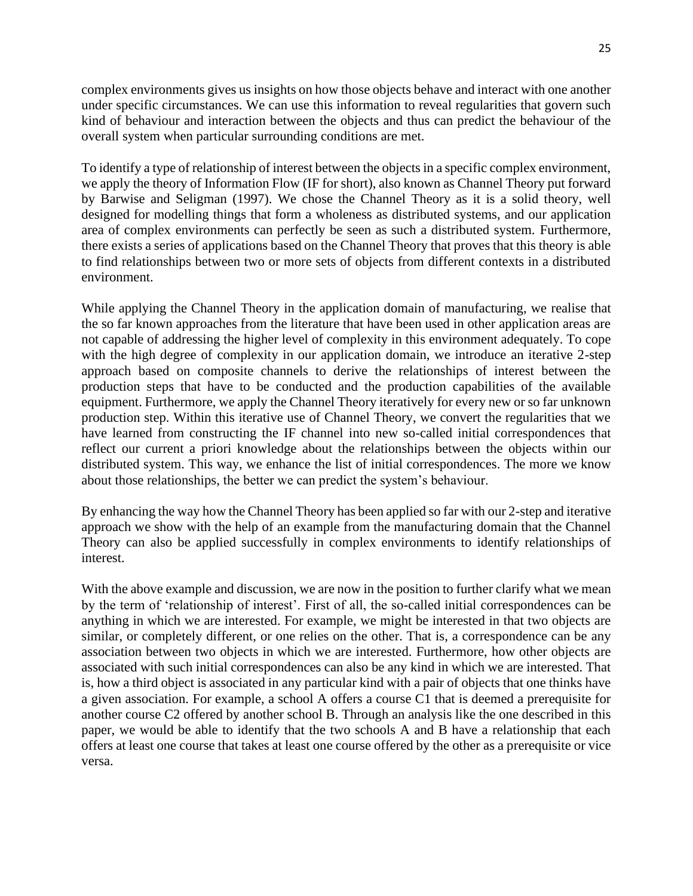complex environments gives us insights on how those objects behave and interact with one another under specific circumstances. We can use this information to reveal regularities that govern such kind of behaviour and interaction between the objects and thus can predict the behaviour of the overall system when particular surrounding conditions are met.

To identify a type of relationship of interest between the objects in a specific complex environment, we apply the theory of Information Flow (IF for short), also known as Channel Theory put forward by Barwise and Seligman (1997). We chose the Channel Theory as it is a solid theory, well designed for modelling things that form a wholeness as distributed systems, and our application area of complex environments can perfectly be seen as such a distributed system. Furthermore, there exists a series of applications based on the Channel Theory that proves that this theory is able to find relationships between two or more sets of objects from different contexts in a distributed environment.

While applying the Channel Theory in the application domain of manufacturing, we realise that the so far known approaches from the literature that have been used in other application areas are not capable of addressing the higher level of complexity in this environment adequately. To cope with the high degree of complexity in our application domain, we introduce an iterative 2-step approach based on composite channels to derive the relationships of interest between the production steps that have to be conducted and the production capabilities of the available equipment. Furthermore, we apply the Channel Theory iteratively for every new or so far unknown production step. Within this iterative use of Channel Theory, we convert the regularities that we have learned from constructing the IF channel into new so-called initial correspondences that reflect our current a priori knowledge about the relationships between the objects within our distributed system. This way, we enhance the list of initial correspondences. The more we know about those relationships, the better we can predict the system's behaviour.

By enhancing the way how the Channel Theory has been applied so far with our 2-step and iterative approach we show with the help of an example from the manufacturing domain that the Channel Theory can also be applied successfully in complex environments to identify relationships of interest.

With the above example and discussion, we are now in the position to further clarify what we mean by the term of 'relationship of interest'. First of all, the so-called initial correspondences can be anything in which we are interested. For example, we might be interested in that two objects are similar, or completely different, or one relies on the other. That is, a correspondence can be any association between two objects in which we are interested. Furthermore, how other objects are associated with such initial correspondences can also be any kind in which we are interested. That is, how a third object is associated in any particular kind with a pair of objects that one thinks have a given association. For example, a school A offers a course C1 that is deemed a prerequisite for another course C2 offered by another school B. Through an analysis like the one described in this paper, we would be able to identify that the two schools A and B have a relationship that each offers at least one course that takes at least one course offered by the other as a prerequisite or vice versa.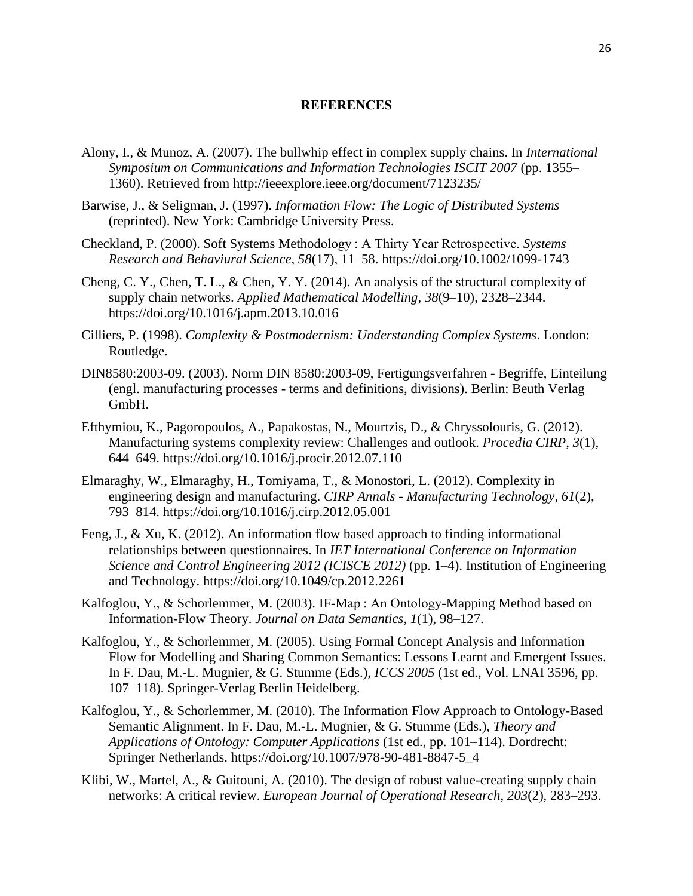### **REFERENCES**

- Alony, I., & Munoz, A. (2007). The bullwhip effect in complex supply chains. In *International Symposium on Communications and Information Technologies ISCIT 2007* (pp. 1355– 1360). Retrieved from http://ieeexplore.ieee.org/document/7123235/
- Barwise, J., & Seligman, J. (1997). *Information Flow: The Logic of Distributed Systems* (reprinted). New York: Cambridge University Press.
- Checkland, P. (2000). Soft Systems Methodology : A Thirty Year Retrospective. *Systems Research and Behaviural Science*, *58*(17), 11–58. https://doi.org/10.1002/1099-1743
- Cheng, C. Y., Chen, T. L., & Chen, Y. Y. (2014). An analysis of the structural complexity of supply chain networks. *Applied Mathematical Modelling*, *38*(9–10), 2328–2344. https://doi.org/10.1016/j.apm.2013.10.016
- Cilliers, P. (1998). *Complexity & Postmodernism: Understanding Complex Systems*. London: Routledge.
- DIN8580:2003-09. (2003). Norm DIN 8580:2003-09, Fertigungsverfahren Begriffe, Einteilung (engl. manufacturing processes - terms and definitions, divisions). Berlin: Beuth Verlag GmbH.
- Efthymiou, K., Pagoropoulos, A., Papakostas, N., Mourtzis, D., & Chryssolouris, G. (2012). Manufacturing systems complexity review: Challenges and outlook. *Procedia CIRP*, *3*(1), 644–649. https://doi.org/10.1016/j.procir.2012.07.110
- Elmaraghy, W., Elmaraghy, H., Tomiyama, T., & Monostori, L. (2012). Complexity in engineering design and manufacturing. *CIRP Annals - Manufacturing Technology*, *61*(2), 793–814. https://doi.org/10.1016/j.cirp.2012.05.001
- Feng, J., & Xu, K. (2012). An information flow based approach to finding informational relationships between questionnaires. In *IET International Conference on Information Science and Control Engineering 2012 (ICISCE 2012)* (pp. 1–4). Institution of Engineering and Technology. https://doi.org/10.1049/cp.2012.2261
- Kalfoglou, Y., & Schorlemmer, M. (2003). IF-Map : An Ontology-Mapping Method based on Information-Flow Theory. *Journal on Data Semantics*, *1*(1), 98–127.
- Kalfoglou, Y., & Schorlemmer, M. (2005). Using Formal Concept Analysis and Information Flow for Modelling and Sharing Common Semantics: Lessons Learnt and Emergent Issues. In F. Dau, M.-L. Mugnier, & G. Stumme (Eds.), *ICCS 2005* (1st ed., Vol. LNAI 3596, pp. 107–118). Springer-Verlag Berlin Heidelberg.
- Kalfoglou, Y., & Schorlemmer, M. (2010). The Information Flow Approach to Ontology-Based Semantic Alignment. In F. Dau, M.-L. Mugnier, & G. Stumme (Eds.), *Theory and Applications of Ontology: Computer Applications* (1st ed., pp. 101–114). Dordrecht: Springer Netherlands. https://doi.org/10.1007/978-90-481-8847-5\_4
- Klibi, W., Martel, A., & Guitouni, A. (2010). The design of robust value-creating supply chain networks: A critical review. *European Journal of Operational Research*, *203*(2), 283–293.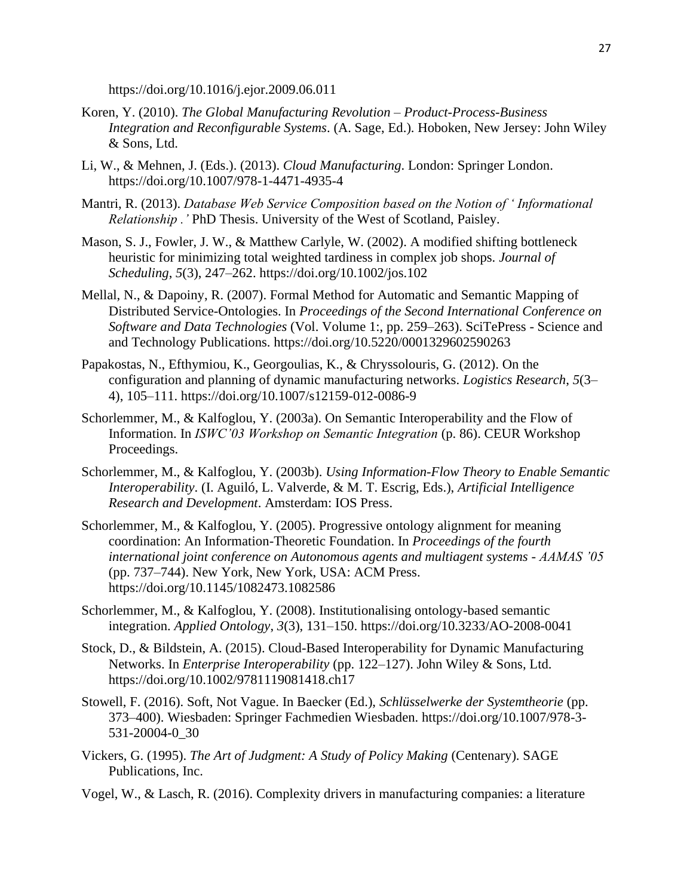https://doi.org/10.1016/j.ejor.2009.06.011

- Koren, Y. (2010). *The Global Manufacturing Revolution – Product-Process-Business Integration and Reconfigurable Systems*. (A. Sage, Ed.). Hoboken, New Jersey: John Wiley & Sons, Ltd.
- Li, W., & Mehnen, J. (Eds.). (2013). *Cloud Manufacturing*. London: Springer London. https://doi.org/10.1007/978-1-4471-4935-4
- Mantri, R. (2013). *Database Web Service Composition based on the Notion of ' Informational Relationship .'* PhD Thesis. University of the West of Scotland, Paisley.
- Mason, S. J., Fowler, J. W., & Matthew Carlyle, W. (2002). A modified shifting bottleneck heuristic for minimizing total weighted tardiness in complex job shops. *Journal of Scheduling*, *5*(3), 247–262. https://doi.org/10.1002/jos.102
- Mellal, N., & Dapoiny, R. (2007). Formal Method for Automatic and Semantic Mapping of Distributed Service-Ontologies. In *Proceedings of the Second International Conference on Software and Data Technologies* (Vol. Volume 1:, pp. 259–263). SciTePress - Science and and Technology Publications. https://doi.org/10.5220/0001329602590263
- Papakostas, N., Efthymiou, K., Georgoulias, K., & Chryssolouris, G. (2012). On the configuration and planning of dynamic manufacturing networks. *Logistics Research*, *5*(3– 4), 105–111. https://doi.org/10.1007/s12159-012-0086-9
- Schorlemmer, M., & Kalfoglou, Y. (2003a). On Semantic Interoperability and the Flow of Information. In *ISWC'03 Workshop on Semantic Integration* (p. 86). CEUR Workshop Proceedings.
- Schorlemmer, M., & Kalfoglou, Y. (2003b). *Using Information-Flow Theory to Enable Semantic Interoperability*. (I. Aguiló, L. Valverde, & M. T. Escrig, Eds.), *Artificial Intelligence Research and Development*. Amsterdam: IOS Press.
- Schorlemmer, M., & Kalfoglou, Y. (2005). Progressive ontology alignment for meaning coordination: An Information-Theoretic Foundation. In *Proceedings of the fourth international joint conference on Autonomous agents and multiagent systems - AAMAS '05* (pp. 737–744). New York, New York, USA: ACM Press. https://doi.org/10.1145/1082473.1082586
- Schorlemmer, M., & Kalfoglou, Y. (2008). Institutionalising ontology-based semantic integration. *Applied Ontology*, *3*(3), 131–150. https://doi.org/10.3233/AO-2008-0041
- Stock, D., & Bildstein, A. (2015). Cloud-Based Interoperability for Dynamic Manufacturing Networks. In *Enterprise Interoperability* (pp. 122–127). John Wiley & Sons, Ltd. https://doi.org/10.1002/9781119081418.ch17
- Stowell, F. (2016). Soft, Not Vague. In Baecker (Ed.), *Schlüsselwerke der Systemtheorie* (pp. 373–400). Wiesbaden: Springer Fachmedien Wiesbaden. https://doi.org/10.1007/978-3- 531-20004-0\_30
- Vickers, G. (1995). *The Art of Judgment: A Study of Policy Making* (Centenary). SAGE Publications, Inc.
- Vogel, W., & Lasch, R. (2016). Complexity drivers in manufacturing companies: a literature